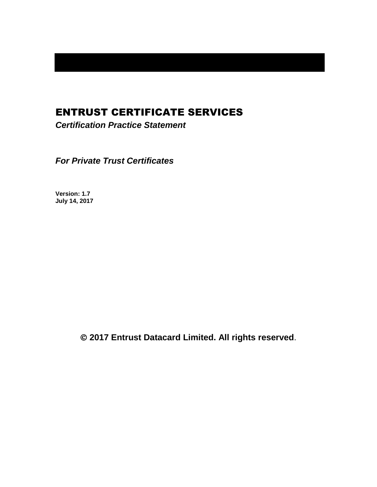# ENTRUST CERTIFICATE SERVICES

*Certification Practice Statement*

*For Private Trust Certificates*

**Version: 1.7 July 14, 2017**

**2017 Entrust Datacard Limited. All rights reserved**.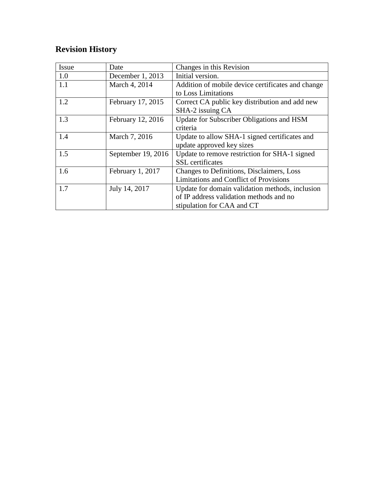# **Revision History**

| Issue | Date               | Changes in this Revision                          |
|-------|--------------------|---------------------------------------------------|
| 1.0   | December 1, 2013   | Initial version.                                  |
| 1.1   | March 4, 2014      | Addition of mobile device certificates and change |
|       |                    | to Loss Limitations                               |
| 1.2   | February 17, 2015  | Correct CA public key distribution and add new    |
|       |                    | SHA-2 issuing CA                                  |
| 1.3   | February 12, 2016  | Update for Subscriber Obligations and HSM         |
|       |                    | criteria                                          |
| 1.4   | March 7, 2016      | Update to allow SHA-1 signed certificates and     |
|       |                    | update approved key sizes                         |
| 1.5   | September 19, 2016 | Update to remove restriction for SHA-1 signed     |
|       |                    | <b>SSL</b> certificates                           |
| 1.6   | February 1, 2017   | Changes to Definitions, Disclaimers, Loss         |
|       |                    | Limitations and Conflict of Provisions            |
| 1.7   | July 14, 2017      | Update for domain validation methods, inclusion   |
|       |                    | of IP address validation methods and no           |
|       |                    | stipulation for CAA and CT                        |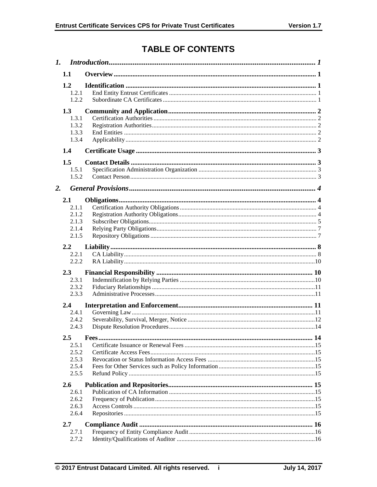# **TABLE OF CONTENTS**

| 1. |                                                      |  |  |  |
|----|------------------------------------------------------|--|--|--|
|    | 1.1                                                  |  |  |  |
|    | 1.2<br>1.2.1<br>1.2.2                                |  |  |  |
|    | 1.3<br>1.3.1<br>1.3.2<br>1.3.3<br>1.3.4              |  |  |  |
|    | 1.4                                                  |  |  |  |
|    | 1.5<br>1.5.1<br>1.5.2                                |  |  |  |
| 2. |                                                      |  |  |  |
|    | 2.1<br>2.1.1<br>2.1.2<br>2.1.3<br>2.1.4<br>2.1.5     |  |  |  |
|    | 2.2<br>2.2.1<br>2.2.2                                |  |  |  |
|    | 2.3<br>2.3.1<br>2.3.2<br>2.3.3                       |  |  |  |
|    | 2.4<br>2.4.1<br>2.4.2<br>2.4.3                       |  |  |  |
|    | $2.5\,$<br>2.5.1<br>2.5.2<br>2.5.3<br>2.5.4<br>2.5.5 |  |  |  |
|    | $2.6^{\circ}$<br>2.6.1<br>2.6.2<br>2.6.3<br>2.6.4    |  |  |  |
|    | 2.7                                                  |  |  |  |
|    | 2.7.1<br>2.7.2                                       |  |  |  |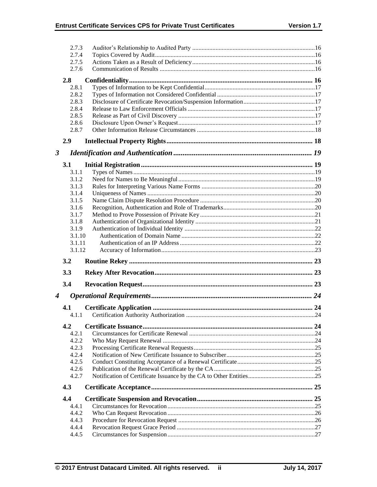|                      | 2.7.3          |  |
|----------------------|----------------|--|
|                      | 2.7.4          |  |
|                      | 2.7.5          |  |
|                      | 2.7.6          |  |
|                      | 2.8            |  |
|                      | 2.8.1          |  |
|                      | 2.8.2          |  |
|                      | 2.8.3          |  |
|                      | 2.8.4          |  |
|                      | 2.8.5          |  |
|                      | 2.8.6          |  |
|                      | 2.8.7          |  |
|                      | 2.9            |  |
| $\boldsymbol{\beta}$ |                |  |
|                      | 3.1            |  |
|                      | 3.1.1          |  |
|                      | 3.1.2          |  |
|                      | 3.1.3          |  |
|                      | 3.1.4          |  |
|                      | 3.1.5          |  |
|                      | 3.1.6          |  |
|                      | 3.1.7          |  |
|                      | 3.1.8          |  |
|                      | 3.1.9          |  |
|                      | 3.1.10         |  |
|                      | 3.1.11         |  |
|                      |                |  |
|                      | 3.1.12         |  |
|                      | 3.2            |  |
|                      | 3.3            |  |
|                      | 3.4            |  |
| $\boldsymbol{4}$     |                |  |
|                      | 4.1            |  |
|                      | 4.1.1          |  |
|                      | 4.2            |  |
|                      | 4.2.1          |  |
|                      | 4.2.2          |  |
|                      | 4.2.3          |  |
|                      | 4.2.4          |  |
|                      | 4.2.5          |  |
|                      | 4.2.6          |  |
|                      | 4.2.7          |  |
|                      | 4.3            |  |
|                      | 4.4            |  |
|                      | 4.4.1          |  |
|                      | 4.4.2          |  |
|                      | 4.4.3          |  |
|                      | 4.4.4<br>4.4.5 |  |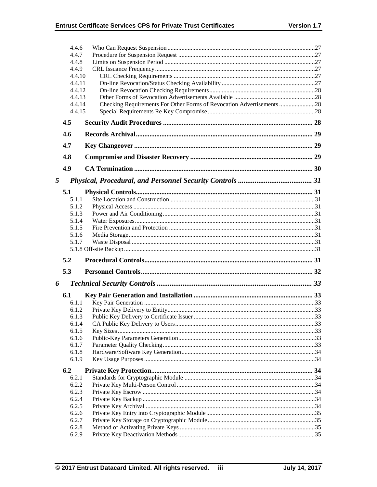|        | 4.4.6          |                                                                       |  |
|--------|----------------|-----------------------------------------------------------------------|--|
|        | 4.4.7          |                                                                       |  |
|        | 4.4.8          |                                                                       |  |
|        | 4.4.9          |                                                                       |  |
| 4.4.10 |                |                                                                       |  |
|        | 4.4.11         |                                                                       |  |
| 4.4.12 |                |                                                                       |  |
|        | 4.4.13         |                                                                       |  |
|        | 4.4.14         | Checking Requirements For Other Forms of Revocation Advertisements 28 |  |
|        | 4.4.15         |                                                                       |  |
|        | 4.5            |                                                                       |  |
|        | 4.6            |                                                                       |  |
|        | 4.7            |                                                                       |  |
|        | 4.8            |                                                                       |  |
|        | 4.9            |                                                                       |  |
| 5      |                |                                                                       |  |
|        | 5.1            |                                                                       |  |
|        | 5.1.1          |                                                                       |  |
|        | 5.1.2          |                                                                       |  |
|        | 5.1.3          |                                                                       |  |
|        | 5.1.4          |                                                                       |  |
|        | 5.1.5          |                                                                       |  |
|        | 5.1.6          |                                                                       |  |
|        | 5.1.7          |                                                                       |  |
|        |                |                                                                       |  |
|        | 5.2            |                                                                       |  |
|        | 5.3            |                                                                       |  |
| 6      |                |                                                                       |  |
|        | 6.1            |                                                                       |  |
|        | 6.1.1          |                                                                       |  |
|        | 6.1.2          |                                                                       |  |
|        | 6.1.3<br>6.1.4 |                                                                       |  |
|        | 6.1.5          |                                                                       |  |
|        | 6.1.6          |                                                                       |  |
|        | 6.1.7          |                                                                       |  |
|        | 6.1.8          |                                                                       |  |
|        | 6.1.9          |                                                                       |  |
|        | 6.2            |                                                                       |  |
|        | 6.2.1          |                                                                       |  |
|        | 6.2.2          |                                                                       |  |
|        | 6.2.3          |                                                                       |  |
|        | 6.2.4          |                                                                       |  |
|        | 6.2.5          |                                                                       |  |
|        | 6.2.6          |                                                                       |  |
|        |                |                                                                       |  |
|        | 6.2.7          |                                                                       |  |
|        | 6.2.8<br>6.2.9 |                                                                       |  |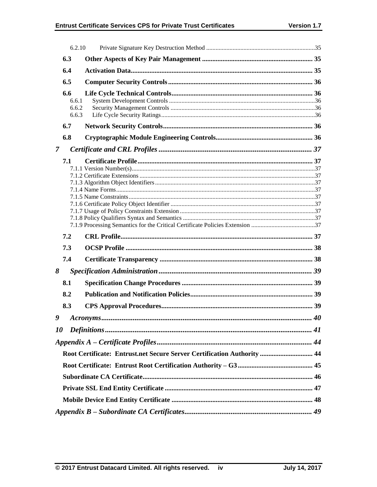|                | 6.2.10                         |                                                                         |    |
|----------------|--------------------------------|-------------------------------------------------------------------------|----|
| 6.3            |                                |                                                                         |    |
| 6.4            |                                |                                                                         |    |
|                | 6.5                            |                                                                         |    |
|                | 6.6<br>6.6.1<br>6.6.2<br>6.6.3 |                                                                         |    |
|                | 6.7                            |                                                                         |    |
|                | 6.8                            |                                                                         |    |
| $\overline{7}$ |                                |                                                                         |    |
|                | 7.1                            |                                                                         |    |
|                |                                |                                                                         |    |
|                | 7.2                            |                                                                         |    |
|                | 7.3                            |                                                                         |    |
|                | 7.4                            |                                                                         |    |
|                |                                |                                                                         |    |
|                | 8.1                            |                                                                         |    |
|                | 8.2                            |                                                                         |    |
|                | 8.3                            |                                                                         |    |
|                |                                | 9 Acronyms                                                              | 40 |
|                |                                |                                                                         |    |
| 8<br>10        |                                |                                                                         |    |
|                |                                | Root Certificate: Entrust.net Secure Server Certification Authority  44 |    |
|                |                                |                                                                         |    |
|                |                                |                                                                         |    |
|                |                                |                                                                         |    |
|                |                                |                                                                         |    |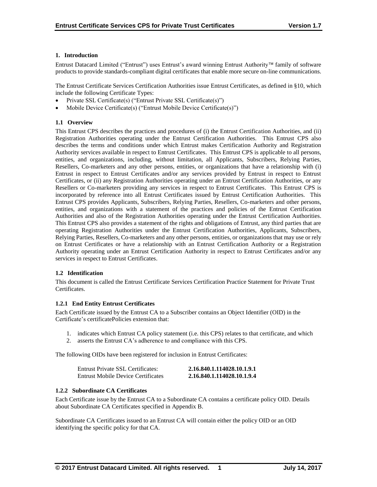## **1. Introduction**

Entrust Datacard Limited ("Entrust") uses Entrust's award winning Entrust Authority family of software products to provide standards-compliant digital certificates that enable more secure on-line communications.

The Entrust Certificate Services Certification Authorities issue Entrust Certificates, as defined in §10, which include the following Certificate Types:

- Private SSL Certificate(s) ("Entrust Private SSL Certificate(s)")
- Mobile Device Certificate(s) ("Entrust Mobile Device Certificate(s)")

## **1.1 Overview**

This Entrust CPS describes the practices and procedures of (i) the Entrust Certification Authorities, and (ii) Registration Authorities operating under the Entrust Certification Authorities. This Entrust CPS also describes the terms and conditions under which Entrust makes Certification Authority and Registration Authority services available in respect to Entrust Certificates. This Entrust CPS is applicable to all persons, entities, and organizations, including, without limitation, all Applicants, Subscribers, Relying Parties, Resellers, Co-marketers and any other persons, entities, or organizations that have a relationship with (i) Entrust in respect to Entrust Certificates and/or any services provided by Entrust in respect to Entrust Certificates, or (ii) any Registration Authorities operating under an Entrust Certification Authorities, or any Resellers or Co-marketers providing any services in respect to Entrust Certificates. This Entrust CPS is incorporated by reference into all Entrust Certificates issued by Entrust Certification Authorities. This Entrust CPS provides Applicants, Subscribers, Relying Parties, Resellers, Co-marketers and other persons, entities, and organizations with a statement of the practices and policies of the Entrust Certification Authorities and also of the Registration Authorities operating under the Entrust Certification Authorities. This Entrust CPS also provides a statement of the rights and obligations of Entrust, any third parties that are operating Registration Authorities under the Entrust Certification Authorities, Applicants, Subscribers, Relying Parties, Resellers, Co-marketers and any other persons, entities, or organizations that may use or rely on Entrust Certificates or have a relationship with an Entrust Certification Authority or a Registration Authority operating under an Entrust Certification Authority in respect to Entrust Certificates and/or any services in respect to Entrust Certificates.

#### **1.2 Identification**

This document is called the Entrust Certificate Services Certification Practice Statement for Private Trust Certificates.

#### **1.2.1 End Entity Entrust Certificates**

Each Certificate issued by the Entrust CA to a Subscriber contains an Object Identifier (OID) in the Certificate's certificatePolicies extension that:

- 1. indicates which Entrust CA policy statement (i.e. this CPS) relates to that certificate, and which
- 2. asserts the Entrust CA's adherence to and compliance with this CPS.

The following OIDs have been registered for inclusion in Entrust Certificates:

| Entrust Private SSL Certificates:  | 2.16.840.1.114028.10.1.9.1 |
|------------------------------------|----------------------------|
| Entrust Mobile Device Certificates | 2.16.840.1.114028.10.1.9.4 |

## **1.2.2 Subordinate CA Certificates**

Each Certificate issue by the Entrust CA to a Subordinate CA contains a certificate policy OID. Details about Subordinate CA Certificates specified in Appendix B.

Subordinate CA Certificates issued to an Entrust CA will contain either the policy OID or an OID identifying the specific policy for that CA.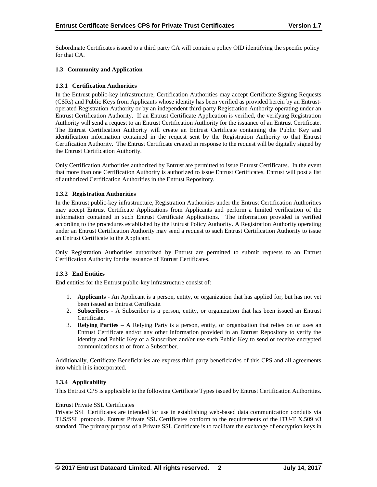Subordinate Certificates issued to a third party CA will contain a policy OID identifying the specific policy for that CA.

## **1.3 Community and Application**

## **1.3.1 Certification Authorities**

In the Entrust public-key infrastructure, Certification Authorities may accept Certificate Signing Requests (CSRs) and Public Keys from Applicants whose identity has been verified as provided herein by an Entrustoperated Registration Authority or by an independent third-party Registration Authority operating under an Entrust Certification Authority. If an Entrust Certificate Application is verified, the verifying Registration Authority will send a request to an Entrust Certification Authority for the issuance of an Entrust Certificate. The Entrust Certification Authority will create an Entrust Certificate containing the Public Key and identification information contained in the request sent by the Registration Authority to that Entrust Certification Authority. The Entrust Certificate created in response to the request will be digitally signed by the Entrust Certification Authority.

Only Certification Authorities authorized by Entrust are permitted to issue Entrust Certificates. In the event that more than one Certification Authority is authorized to issue Entrust Certificates, Entrust will post a list of authorized Certification Authorities in the Entrust Repository.

#### **1.3.2 Registration Authorities**

In the Entrust public-key infrastructure, Registration Authorities under the Entrust Certification Authorities may accept Entrust Certificate Applications from Applicants and perform a limited verification of the information contained in such Entrust Certificate Applications. The information provided is verified according to the procedures established by the Entrust Policy Authority. A Registration Authority operating under an Entrust Certification Authority may send a request to such Entrust Certification Authority to issue an Entrust Certificate to the Applicant.

Only Registration Authorities authorized by Entrust are permitted to submit requests to an Entrust Certification Authority for the issuance of Entrust Certificates.

#### **1.3.3 End Entities**

End entities for the Entrust public-key infrastructure consist of:

- 1. **Applicants** An Applicant is a person, entity, or organization that has applied for, but has not yet been issued an Entrust Certificate.
- 2. **Subscribers**  A Subscriber is a person, entity, or organization that has been issued an Entrust Certificate.
- 3. **Relying Parties**  A Relying Party is a person, entity, or organization that relies on or uses an Entrust Certificate and/or any other information provided in an Entrust Repository to verify the identity and Public Key of a Subscriber and/or use such Public Key to send or receive encrypted communications to or from a Subscriber.

Additionally, Certificate Beneficiaries are express third party beneficiaries of this CPS and all agreements into which it is incorporated.

#### **1.3.4 Applicability**

This Entrust CPS is applicable to the following Certificate Types issued by Entrust Certification Authorities.

#### Entrust Private SSL Certificates

Private SSL Certificates are intended for use in establishing web-based data communication conduits via TLS/SSL protocols. Entrust Private SSL Certificates conform to the requirements of the ITU-T X.509 v3 standard. The primary purpose of a Private SSL Certificate is to facilitate the exchange of encryption keys in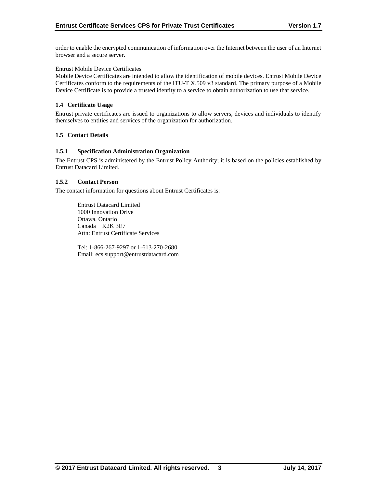order to enable the encrypted communication of information over the Internet between the user of an Internet browser and a secure server.

#### Entrust Mobile Device Certificates

Mobile Device Certificates are intended to allow the identification of mobile devices. Entrust Mobile Device Certificates conform to the requirements of the ITU-T X.509 v3 standard. The primary purpose of a Mobile Device Certificate is to provide a trusted identity to a service to obtain authorization to use that service.

#### **1.4 Certificate Usage**

Entrust private certificates are issued to organizations to allow servers, devices and individuals to identify themselves to entities and services of the organization for authorization.

#### **1.5 Contact Details**

#### **1.5.1 Specification Administration Organization**

The Entrust CPS is administered by the Entrust Policy Authority; it is based on the policies established by Entrust Datacard Limited.

#### **1.5.2 Contact Person**

The contact information for questions about Entrust Certificates is:

Entrust Datacard Limited 1000 Innovation Drive Ottawa, Ontario Canada K2K 3E7 Attn: Entrust Certificate Services

Tel: 1-866-267-9297 or 1-613-270-2680 Email: ecs.support@entrustdatacard.com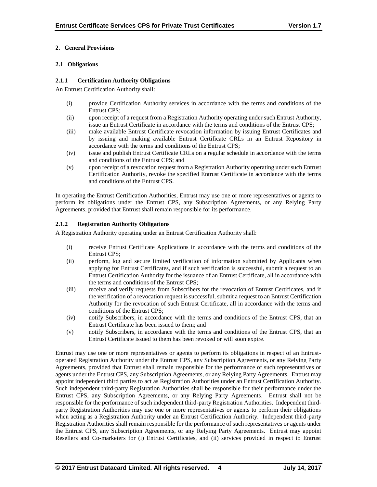## **2. General Provisions**

## **2.1 Obligations**

## **2.1.1 Certification Authority Obligations**

An Entrust Certification Authority shall:

- (i) provide Certification Authority services in accordance with the terms and conditions of the Entrust CPS;
- (ii) upon receipt of a request from a Registration Authority operating under such Entrust Authority, issue an Entrust Certificate in accordance with the terms and conditions of the Entrust CPS;
- (iii) make available Entrust Certificate revocation information by issuing Entrust Certificates and by issuing and making available Entrust Certificate CRLs in an Entrust Repository in accordance with the terms and conditions of the Entrust CPS;
- (iv) issue and publish Entrust Certificate CRLs on a regular schedule in accordance with the terms and conditions of the Entrust CPS; and
- (v) upon receipt of a revocation request from a Registration Authority operating under such Entrust Certification Authority, revoke the specified Entrust Certificate in accordance with the terms and conditions of the Entrust CPS.

In operating the Entrust Certification Authorities, Entrust may use one or more representatives or agents to perform its obligations under the Entrust CPS, any Subscription Agreements, or any Relying Party Agreements, provided that Entrust shall remain responsible for its performance.

## **2.1.2 Registration Authority Obligations**

A Registration Authority operating under an Entrust Certification Authority shall:

- (i) receive Entrust Certificate Applications in accordance with the terms and conditions of the Entrust CPS;
- (ii) perform, log and secure limited verification of information submitted by Applicants when applying for Entrust Certificates, and if such verification is successful, submit a request to an Entrust Certification Authority for the issuance of an Entrust Certificate, all in accordance with the terms and conditions of the Entrust CPS;
- (iii) receive and verify requests from Subscribers for the revocation of Entrust Certificates, and if the verification of a revocation request is successful, submit a request to an Entrust Certification Authority for the revocation of such Entrust Certificate, all in accordance with the terms and conditions of the Entrust CPS;
- (iv) notify Subscribers, in accordance with the terms and conditions of the Entrust CPS, that an Entrust Certificate has been issued to them; and
- (v) notify Subscribers, in accordance with the terms and conditions of the Entrust CPS, that an Entrust Certificate issued to them has been revoked or will soon expire.

Entrust may use one or more representatives or agents to perform its obligations in respect of an Entrustoperated Registration Authority under the Entrust CPS, any Subscription Agreements, or any Relying Party Agreements, provided that Entrust shall remain responsible for the performance of such representatives or agents under the Entrust CPS, any Subscription Agreements, or any Relying Party Agreements. Entrust may appoint independent third parties to act as Registration Authorities under an Entrust Certification Authority. Such independent third-party Registration Authorities shall be responsible for their performance under the Entrust CPS, any Subscription Agreements, or any Relying Party Agreements. Entrust shall not be responsible for the performance of such independent third-party Registration Authorities. Independent thirdparty Registration Authorities may use one or more representatives or agents to perform their obligations when acting as a Registration Authority under an Entrust Certification Authority. Independent third-party Registration Authorities shall remain responsible for the performance of such representatives or agents under the Entrust CPS, any Subscription Agreements, or any Relying Party Agreements. Entrust may appoint Resellers and Co-marketers for (i) Entrust Certificates, and (ii) services provided in respect to Entrust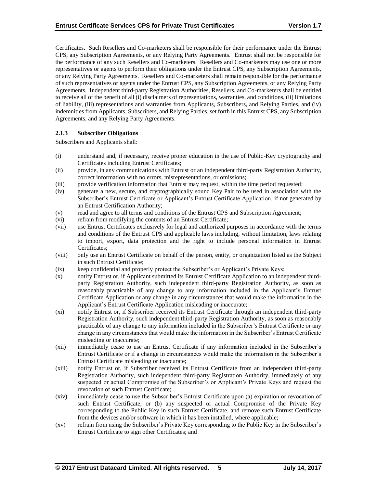Certificates. Such Resellers and Co-marketers shall be responsible for their performance under the Entrust CPS, any Subscription Agreements, or any Relying Party Agreements. Entrust shall not be responsible for the performance of any such Resellers and Co-marketers. Resellers and Co-marketers may use one or more representatives or agents to perform their obligations under the Entrust CPS, any Subscription Agreements, or any Relying Party Agreements. Resellers and Co-marketers shall remain responsible for the performance of such representatives or agents under the Entrust CPS, any Subscription Agreements, or any Relying Party Agreements. Independent third-party Registration Authorities, Resellers, and Co-marketers shall be entitled to receive all of the benefit of all (i) disclaimers of representations, warranties, and conditions, (ii) limitations of liability, (iii) representations and warranties from Applicants, Subscribers, and Relying Parties, and (iv) indemnities from Applicants, Subscribers, and Relying Parties, set forth in this Entrust CPS, any Subscription Agreements, and any Relying Party Agreements.

## **2.1.3 Subscriber Obligations**

Subscribers and Applicants shall:

- (i) understand and, if necessary, receive proper education in the use of Public-Key cryptography and Certificates including Entrust Certificates;
- (ii) provide, in any communications with Entrust or an independent third-party Registration Authority, correct information with no errors, misrepresentations, or omissions;
- (iii) provide verification information that Entrust may request, within the time period requested;
- (iv) generate a new, secure, and cryptographically sound Key Pair to be used in association with the Subscriber's Entrust Certificate or Applicant's Entrust Certificate Application, if not generated by an Entrust Certification Authority;
- (v) read and agree to all terms and conditions of the Entrust CPS and Subscription Agreement;
- (vi) refrain from modifying the contents of an Entrust Certificate;
- (vii) use Entrust Certificates exclusively for legal and authorized purposes in accordance with the terms and conditions of the Entrust CPS and applicable laws including, without limitation, laws relating to import, export, data protection and the right to include personal information in Entrust Certificates;
- (viii) only use an Entrust Certificate on behalf of the person, entity, or organization listed as the Subject in such Entrust Certificate;
- (ix) keep confidential and properly protect the Subscriber's or Applicant's Private Keys;
- (x) notify Entrust or, if Applicant submitted its Entrust Certificate Application to an independent thirdparty Registration Authority, such independent third-party Registration Authority, as soon as reasonably practicable of any change to any information included in the Applicant's Entrust Certificate Application or any change in any circumstances that would make the information in the Applicant's Entrust Certificate Application misleading or inaccurate;
- (xi) notify Entrust or, if Subscriber received its Entrust Certificate through an independent third-party Registration Authority, such independent third-party Registration Authority, as soon as reasonably practicable of any change to any information included in the Subscriber's Entrust Certificate or any change in any circumstances that would make the information in the Subscriber's Entrust Certificate misleading or inaccurate;
- (xii) immediately cease to use an Entrust Certificate if any information included in the Subscriber's Entrust Certificate or if a change in circumstances would make the information in the Subscriber's Entrust Certificate misleading or inaccurate;
- (xiii) notify Entrust or, if Subscriber received its Entrust Certificate from an independent third-party Registration Authority, such independent third-party Registration Authority, immediately of any suspected or actual Compromise of the Subscriber's or Applicant's Private Keys and request the revocation of such Entrust Certificate;
- (xiv) immediately cease to use the Subscriber's Entrust Certificate upon (a) expiration or revocation of such Entrust Certificate, or (b) any suspected or actual Compromise of the Private Key corresponding to the Public Key in such Entrust Certificate, and remove such Entrust Certificate from the devices and/or software in which it has been installed, where applicable;
- (xv) refrain from using the Subscriber's Private Key corresponding to the Public Key in the Subscriber's Entrust Certificate to sign other Certificates; and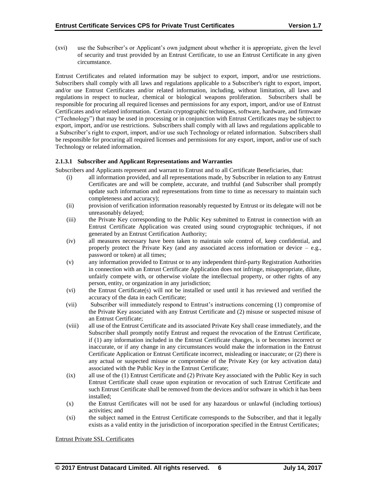(xvi) use the Subscriber's or Applicant's own judgment about whether it is appropriate, given the level of security and trust provided by an Entrust Certificate, to use an Entrust Certificate in any given circumstance.

Entrust Certificates and related information may be subject to export, import, and/or use restrictions. Subscribers shall comply with all laws and regulations applicable to a Subscriber's right to export, import, and/or use Entrust Certificates and/or related information, including, without limitation, all laws and regulations in respect to nuclear, chemical or biological weapons proliferation. Subscribers shall be responsible for procuring all required licenses and permissions for any export, import, and/or use of Entrust Certificates and/or related information. Certain cryptographic techniques, software, hardware, and firmware ("Technology") that may be used in processing or in conjunction with Entrust Certificates may be subject to export, import, and/or use restrictions. Subscribers shall comply with all laws and regulations applicable to a Subscriber's right to export, import, and/or use such Technology or related information. Subscribers shall be responsible for procuring all required licenses and permissions for any export, import, and/or use of such Technology or related information.

#### **2.1.3.1 Subscriber and Applicant Representations and Warranties**

Subscribers and Applicants represent and warrant to Entrust and to all Certificate Beneficiaries, that:

- (i) all information provided, and all representations made, by Subscriber in relation to any Entrust Certificates are and will be complete, accurate, and truthful (and Subscriber shall promptly update such information and representations from time to time as necessary to maintain such completeness and accuracy);
- (ii) provision of verification information reasonably requested by Entrust or its delegate will not be unreasonably delayed;
- (iii) the Private Key corresponding to the Public Key submitted to Entrust in connection with an Entrust Certificate Application was created using sound cryptographic techniques, if not generated by an Entrust Certification Authority;
- (iv) all measures necessary have been taken to maintain sole control of, keep confidential, and properly protect the Private Key (and any associated access information or device  $-$  e.g., password or token) at all times;
- (v) any information provided to Entrust or to any independent third-party Registration Authorities in connection with an Entrust Certificate Application does not infringe, misappropriate, dilute, unfairly compete with, or otherwise violate the intellectual property, or other rights of any person, entity, or organization in any jurisdiction;
- (vi) the Entrust Certificate(s) will not be installed or used until it has reviewed and verified the accuracy of the data in each Certificate;
- (vii) Subscriber will immediately respond to Entrust's instructions concerning (1) compromise of the Private Key associated with any Entrust Certificate and (2) misuse or suspected misuse of an Entrust Certificate;
- (viii) all use of the Entrust Certificate and its associated Private Key shall cease immediately, and the Subscriber shall promptly notify Entrust and request the revocation of the Entrust Certificate, if (1) any information included in the Entrust Certificate changes, is or becomes incorrect or inaccurate, or if any change in any circumstances would make the information in the Entrust Certificate Application or Entrust Certificate incorrect, misleading or inaccurate; or (2) there is any actual or suspected misuse or compromise of the Private Key (or key activation data) associated with the Public Key in the Entrust Certificate;
- (ix) all use of the (1) Entrust Certificate and (2) Private Key associated with the Public Key in such Entrust Certificate shall cease upon expiration or revocation of such Entrust Certificate and such Entrust Certificate shall be removed from the devices and/or software in which it has been installed;
- (x) the Entrust Certificates will not be used for any hazardous or unlawful (including tortious) activities; and
- (xi) the subject named in the Entrust Certificate corresponds to the Subscriber, and that it legally exists as a valid entity in the jurisdiction of incorporation specified in the Entrust Certificates;

Entrust Private SSL Certificates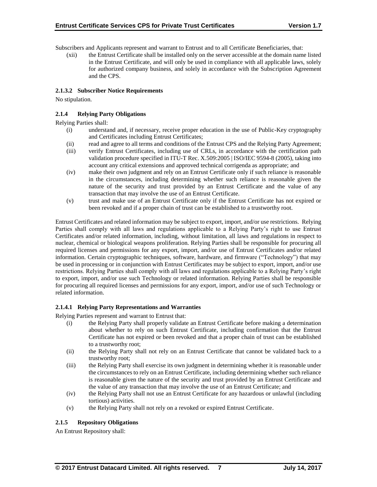Subscribers and Applicants represent and warrant to Entrust and to all Certificate Beneficiaries, that:

(xii) the Entrust Certificate shall be installed only on the server accessible at the domain name listed in the Entrust Certificate, and will only be used in compliance with all applicable laws, solely for authorized company business, and solely in accordance with the Subscription Agreement and the CPS.

## **2.1.3.2 Subscriber Notice Requirements**

No stipulation.

## **2.1.4 Relying Party Obligations**

Relying Parties shall:

- (i) understand and, if necessary, receive proper education in the use of Public-Key cryptography and Certificates including Entrust Certificates;
- (ii) read and agree to all terms and conditions of the Entrust CPS and the Relying Party Agreement;
- (iii) verify Entrust Certificates, including use of CRLs, in accordance with the certification path validation procedure specified in ITU-T Rec. X.509:2005 | ISO/IEC 9594-8 (2005), taking into account any critical extensions and approved technical corrigenda as appropriate; and
- (iv) make their own judgment and rely on an Entrust Certificate only if such reliance is reasonable in the circumstances, including determining whether such reliance is reasonable given the nature of the security and trust provided by an Entrust Certificate and the value of any transaction that may involve the use of an Entrust Certificate.
- (v) trust and make use of an Entrust Certificate only if the Entrust Certificate has not expired or been revoked and if a proper chain of trust can be established to a trustworthy root.

Entrust Certificates and related information may be subject to export, import, and/or use restrictions. Relying Parties shall comply with all laws and regulations applicable to a Relying Party's right to use Entrust Certificates and/or related information, including, without limitation, all laws and regulations in respect to nuclear, chemical or biological weapons proliferation. Relying Parties shall be responsible for procuring all required licenses and permissions for any export, import, and/or use of Entrust Certificates and/or related information. Certain cryptographic techniques, software, hardware, and firmware ("Technology") that may be used in processing or in conjunction with Entrust Certificates may be subject to export, import, and/or use restrictions. Relying Parties shall comply with all laws and regulations applicable to a Relying Party's right to export, import, and/or use such Technology or related information. Relying Parties shall be responsible for procuring all required licenses and permissions for any export, import, and/or use of such Technology or related information.

#### **2.1.4.1 Relying Party Representations and Warranties**

Relying Parties represent and warrant to Entrust that:

- (i) the Relying Party shall properly validate an Entrust Certificate before making a determination about whether to rely on such Entrust Certificate, including confirmation that the Entrust Certificate has not expired or been revoked and that a proper chain of trust can be established to a trustworthy root;
- (ii) the Relying Party shall not rely on an Entrust Certificate that cannot be validated back to a trustworthy root;
- (iii) the Relying Party shall exercise its own judgment in determining whether it is reasonable under the circumstances to rely on an Entrust Certificate, including determining whether such reliance is reasonable given the nature of the security and trust provided by an Entrust Certificate and the value of any transaction that may involve the use of an Entrust Certificate; and
- (iv) the Relying Party shall not use an Entrust Certificate for any hazardous or unlawful (including tortious) activities.
- (v) the Relying Party shall not rely on a revoked or expired Entrust Certificate.

## **2.1.5 Repository Obligations**

An Entrust Repository shall: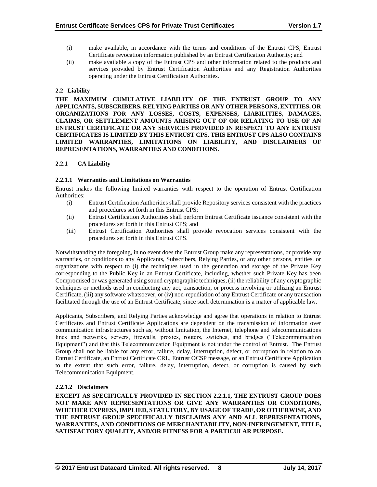- (i) make available, in accordance with the terms and conditions of the Entrust CPS, Entrust Certificate revocation information published by an Entrust Certification Authority; and
- (ii) make available a copy of the Entrust CPS and other information related to the products and services provided by Entrust Certification Authorities and any Registration Authorities operating under the Entrust Certification Authorities.

## **2.2 Liability**

**THE MAXIMUM CUMULATIVE LIABILITY OF THE ENTRUST GROUP TO ANY APPLICANTS, SUBSCRIBERS, RELYING PARTIES OR ANY OTHER PERSONS, ENTITIES, OR ORGANIZATIONS FOR ANY LOSSES, COSTS, EXPENSES, LIABILITIES, DAMAGES, CLAIMS, OR SETTLEMENT AMOUNTS ARISING OUT OF OR RELATING TO USE OF AN ENTRUST CERTIFICATE OR ANY SERVICES PROVIDED IN RESPECT TO ANY ENTRUST CERTIFICATES IS LIMITED BY THIS ENTRUST CPS. THIS ENTRUST CPS ALSO CONTAINS LIMITED WARRANTIES, LIMITATIONS ON LIABILITY, AND DISCLAIMERS OF REPRESENTATIONS, WARRANTIES AND CONDITIONS.**

## **2.2.1 CA Liability**

#### **2.2.1.1 Warranties and Limitations on Warranties**

Entrust makes the following limited warranties with respect to the operation of Entrust Certification Authorities:

- (i) Entrust Certification Authorities shall provide Repository services consistent with the practices and procedures set forth in this Entrust CPS;
- (ii) Entrust Certification Authorities shall perform Entrust Certificate issuance consistent with the procedures set forth in this Entrust CPS; and
- (iii) Entrust Certification Authorities shall provide revocation services consistent with the procedures set forth in this Entrust CPS.

Notwithstanding the foregoing, in no event does the Entrust Group make any representations, or provide any warranties, or conditions to any Applicants, Subscribers, Relying Parties, or any other persons, entities, or organizations with respect to (i) the techniques used in the generation and storage of the Private Key corresponding to the Public Key in an Entrust Certificate, including, whether such Private Key has been Compromised or was generated using sound cryptographic techniques, (ii) the reliability of any cryptographic techniques or methods used in conducting any act, transaction, or process involving or utilizing an Entrust Certificate, (iii) any software whatsoever, or (iv) non-repudiation of any Entrust Certificate or any transaction facilitated through the use of an Entrust Certificate, since such determination is a matter of applicable law.

Applicants, Subscribers, and Relying Parties acknowledge and agree that operations in relation to Entrust Certificates and Entrust Certificate Applications are dependent on the transmission of information over communication infrastructures such as, without limitation, the Internet, telephone and telecommunications lines and networks, servers, firewalls, proxies, routers, switches, and bridges ("Telecommunication Equipment") and that this Telecommunication Equipment is not under the control of Entrust. The Entrust Group shall not be liable for any error, failure, delay, interruption, defect, or corruption in relation to an Entrust Certificate, an Entrust Certificate CRL, Entrust OCSP message, or an Entrust Certificate Application to the extent that such error, failure, delay, interruption, defect, or corruption is caused by such Telecommunication Equipment.

## **2.2.1.2 Disclaimers**

**EXCEPT AS SPECIFICALLY PROVIDED IN SECTION 2.2.1.1, THE ENTRUST GROUP DOES NOT MAKE ANY REPRESENTATIONS OR GIVE ANY WARRANTIES OR CONDITIONS, WHETHER EXPRESS, IMPLIED, STATUTORY, BY USAGE OF TRADE, OR OTHERWISE, AND THE ENTRUST GROUP SPECIFICALLY DISCLAIMS ANY AND ALL REPRESENTATIONS, WARRANTIES, AND CONDITIONS OF MERCHANTABILITY, NON-INFRINGEMENT, TITLE, SATISFACTORY QUALITY, AND/OR FITNESS FOR A PARTICULAR PURPOSE.**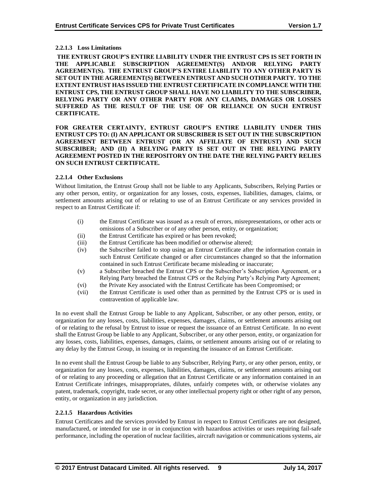## **2.2.1.3 Loss Limitations**

**THE ENTRUST GROUP'S ENTIRE LIABILITY UNDER THE ENTRUST CPS IS SET FORTH IN THE APPLICABLE SUBSCRIPTION AGREEMENT(S) AND/OR RELYING PARTY AGREEMENT(S). THE ENTRUST GROUP'S ENTIRE LIABILITY TO ANY OTHER PARTY IS SET OUT IN THE AGREEMENT(S) BETWEEN ENTRUST AND SUCH OTHER PARTY. TO THE EXTENT ENTRUST HAS ISSUED THE ENTRUST CERTIFICATE IN COMPLIANCE WITH THE ENTRUST CPS, THE ENTRUST GROUP SHALL HAVE NO LIABILITY TO THE SUBSCRIBER, RELYING PARTY OR ANY OTHER PARTY FOR ANY CLAIMS, DAMAGES OR LOSSES SUFFERED AS THE RESULT OF THE USE OF OR RELIANCE ON SUCH ENTRUST CERTIFICATE.**

#### **FOR GREATER CERTAINTY, ENTRUST GROUP'S ENTIRE LIABILITY UNDER THIS ENTRUST CPS TO: (I) AN APPLICANT OR SUBSCRIBER IS SET OUT IN THE SUBSCRIPTION AGREEMENT BETWEEN ENTRUST (OR AN AFFILIATE OF ENTRUST) AND SUCH SUBSCRIBER; AND (II) A RELYING PARTY IS SET OUT IN THE RELYING PARTY AGREEMENT POSTED IN THE REPOSITORY ON THE DATE THE RELYING PARTY RELIES ON SUCH ENTRUST CERTIFICATE.**

## **2.2.1.4 Other Exclusions**

Without limitation, the Entrust Group shall not be liable to any Applicants, Subscribers, Relying Parties or any other person, entity, or organization for any losses, costs, expenses, liabilities, damages, claims, or settlement amounts arising out of or relating to use of an Entrust Certificate or any services provided in respect to an Entrust Certificate if:

- (i) the Entrust Certificate was issued as a result of errors, misrepresentations, or other acts or omissions of a Subscriber or of any other person, entity, or organization;
- (ii) the Entrust Certificate has expired or has been revoked;
- (iii) the Entrust Certificate has been modified or otherwise altered;
- (iv) the Subscriber failed to stop using an Entrust Certificate after the information contain in such Entrust Certificate changed or after circumstances changed so that the information contained in such Entrust Certificate became misleading or inaccurate;
- (v) a Subscriber breached the Entrust CPS or the Subscriber's Subscription Agreement, or a Relying Party breached the Entrust CPS or the Relying Party's Relying Party Agreement;
- (vi) the Private Key associated with the Entrust Certificate has been Compromised; or
- (vii) the Entrust Certificate is used other than as permitted by the Entrust CPS or is used in contravention of applicable law.

In no event shall the Entrust Group be liable to any Applicant, Subscriber, or any other person, entity, or organization for any losses, costs, liabilities, expenses, damages, claims, or settlement amounts arising out of or relating to the refusal by Entrust to issue or request the issuance of an Entrust Certificate. In no event shall the Entrust Group be liable to any Applicant, Subscriber, or any other person, entity, or organization for any losses, costs, liabilities, expenses, damages, claims, or settlement amounts arising out of or relating to any delay by the Entrust Group, in issuing or in requesting the issuance of an Entrust Certificate.

In no event shall the Entrust Group be liable to any Subscriber, Relying Party, or any other person, entity, or organization for any losses, costs, expenses, liabilities, damages, claims, or settlement amounts arising out of or relating to any proceeding or allegation that an Entrust Certificate or any information contained in an Entrust Certificate infringes, misappropriates, dilutes, unfairly competes with, or otherwise violates any patent, trademark, copyright, trade secret, or any other intellectual property right or other right of any person, entity, or organization in any jurisdiction.

#### **2.2.1.5 Hazardous Activities**

Entrust Certificates and the services provided by Entrust in respect to Entrust Certificates are not designed, manufactured, or intended for use in or in conjunction with hazardous activities or uses requiring fail-safe performance, including the operation of nuclear facilities, aircraft navigation or communications systems, air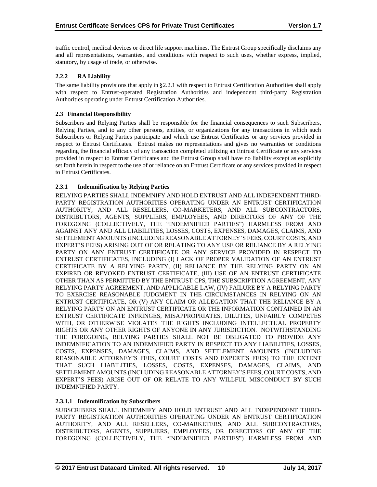traffic control, medical devices or direct life support machines. The Entrust Group specifically disclaims any and all representations, warranties, and conditions with respect to such uses, whether express, implied, statutory, by usage of trade, or otherwise.

## **2.2.2 RA Liability**

The same liability provisions that apply in §2.2.1 with respect to Entrust Certification Authorities shall apply with respect to Entrust-operated Registration Authorities and independent third-party Registration Authorities operating under Entrust Certification Authorities.

## **2.3 Financial Responsibility**

Subscribers and Relying Parties shall be responsible for the financial consequences to such Subscribers, Relying Parties, and to any other persons, entities, or organizations for any transactions in which such Subscribers or Relying Parties participate and which use Entrust Certificates or any services provided in respect to Entrust Certificates. Entrust makes no representations and gives no warranties or conditions regarding the financial efficacy of any transaction completed utilizing an Entrust Certificate or any services provided in respect to Entrust Certificates and the Entrust Group shall have no liability except as explicitly set forth herein in respect to the use of or reliance on an Entrust Certificate or any services provided in respect to Entrust Certificates.

## **2.3.1 Indemnification by Relying Parties**

RELYING PARTIES SHALL INDEMNIFY AND HOLD ENTRUST AND ALL INDEPENDENT THIRD-PARTY REGISTRATION AUTHORITIES OPERATING UNDER AN ENTRUST CERTIFICATION AUTHORITY, AND ALL RESELLERS, CO-MARKETERS, AND ALL SUBCONTRACTORS, DISTRIBUTORS, AGENTS, SUPPLIERS, EMPLOYEES, AND DIRECTORS OF ANY OF THE FOREGOING (COLLECTIVELY, THE "INDEMNIFIED PARTIES") HARMLESS FROM AND AGAINST ANY AND ALL LIABILITIES, LOSSES, COSTS, EXPENSES, DAMAGES, CLAIMS, AND SETTLEMENT AMOUNTS (INCLUDING REASONABLE ATTORNEY'S FEES, COURT COSTS, AND EXPERT'S FEES) ARISING OUT OF OR RELATING TO ANY USE OR RELIANCE BY A RELYING PARTY ON ANY ENTRUST CERTIFICATE OR ANY SERVICE PROVIDED IN RESPECT TO ENTRUST CERTIFICATES, INCLUDING (I) LACK OF PROPER VALIDATION OF AN ENTRUST CERTIFICATE BY A RELYING PARTY, (II) RELIANCE BY THE RELYING PARTY ON AN EXPIRED OR REVOKED ENTRUST CERTIFICATE, (III) USE OF AN ENTRUST CERTIFICATE OTHER THAN AS PERMITTED BY THE ENTRUST CPS, THE SUBSCRIPTION AGREEMENT, ANY RELYING PARTY AGREEMENT, AND APPLICABLE LAW, (IV) FAILURE BY A RELYING PARTY TO EXERCISE REASONABLE JUDGMENT IN THE CIRCUMSTANCES IN RELYING ON AN ENTRUST CERTIFICATE, OR (V) ANY CLAIM OR ALLEGATION THAT THE RELIANCE BY A RELYING PARTY ON AN ENTRUST CERTIFICATE OR THE INFORMATION CONTAINED IN AN ENTRUST CERTIFICATE INFRINGES, MISAPPROPRIATES, DILUTES, UNFAIRLY COMPETES WITH, OR OTHERWISE VIOLATES THE RIGHTS INCLUDING INTELLECTUAL PROPERTY RIGHTS OR ANY OTHER RIGHTS OF ANYONE IN ANY JURISDICTION. NOTWITHSTANDING THE FOREGOING, RELYING PARTIES SHALL NOT BE OBLIGATED TO PROVIDE ANY INDEMNIFICATION TO AN INDEMNIFIED PARTY IN RESPECT TO ANY LIABILITIES, LOSSES, COSTS, EXPENSES, DAMAGES, CLAIMS, AND SETTLEMENT AMOUNTS (INCLUDING REASONABLE ATTORNEY'S FEES, COURT COSTS AND EXPERT'S FEES) TO THE EXTENT THAT SUCH LIABILITIES, LOSSES, COSTS, EXPENSES, DAMAGES, CLAIMS, AND SETTLEMENT AMOUNTS (INCLUDING REASONABLE ATTORNEY'S FEES, COURT COSTS, AND EXPERT'S FEES) ARISE OUT OF OR RELATE TO ANY WILLFUL MISCONDUCT BY SUCH INDEMNIFIED PARTY.

#### **2.3.1.1 Indemnification by Subscribers**

SUBSCRIBERS SHALL INDEMNIFY AND HOLD ENTRUST AND ALL INDEPENDENT THIRD-PARTY REGISTRATION AUTHORITIES OPERATING UNDER AN ENTRUST CERTIFICATION AUTHORITY, AND ALL RESELLERS, CO-MARKETERS, AND ALL SUBCONTRACTORS, DISTRIBUTORS, AGENTS, SUPPLIERS, EMPLOYEES, OR DIRECTORS OF ANY OF THE FOREGOING (COLLECTIVELY, THE "INDEMNIFIED PARTIES") HARMLESS FROM AND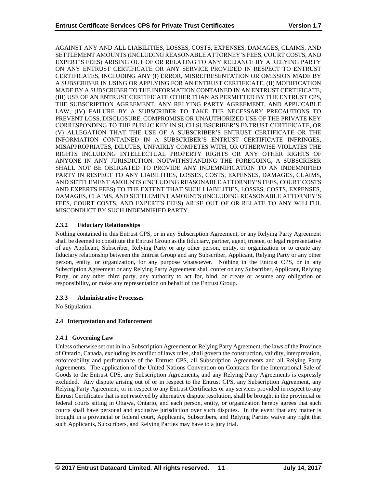AGAINST ANY AND ALL LIABILITIES, LOSSES, COSTS, EXPENSES, DAMAGES, CLAIMS, AND SETTLEMENT AMOUNTS (INCLUDING REASONABLE ATTORNEY'S FEES, COURT COSTS, AND EXPERT'S FEES) ARISING OUT OF OR RELATING TO ANY RELIANCE BY A RELYING PARTY ON ANY ENTRUST CERTIFICATE OR ANY SERVICE PROVIDED IN RESPECT TO ENTRUST CERTIFICATES, INCLUDING ANY (I) ERROR, MISREPRESENTATION OR OMISSION MADE BY A SUBSCRIBER IN USING OR APPLYING FOR AN ENTRUST CERTIFICATE, (II) MODIFICATION MADE BY A SUBSCRIBER TO THE INFORMATION CONTAINED IN AN ENTRUST CERTIFICATE, (III) USE OF AN ENTRUST CERTIFICATE OTHER THAN AS PERMITTED BY THE ENTRUST CPS, THE SUBSCRIPTION AGREEMENT, ANY RELYING PARTY AGREEMENT, AND APPLICABLE LAW, (IV) FAILURE BY A SUBSCRIBER TO TAKE THE NECESSARY PRECAUTIONS TO PREVENT LOSS, DISCLOSURE, COMPROMISE OR UNAUTHORIZED USE OF THE PRIVATE KEY CORRESPONDING TO THE PUBLIC KEY IN SUCH SUBSCRIBER'S ENTRUST CERTIFICATE, OR (V) ALLEGATION THAT THE USE OF A SUBSCRIBER'S ENTRUST CERTIFICATE OR THE INFORMATION CONTAINED IN A SUBSCRIBER'S ENTRUST CERTIFICATE INFRINGES, MISAPPROPRIATES, DILUTES, UNFAIRLY COMPETES WITH, OR OTHERWISE VIOLATES THE RIGHTS INCLUDING INTELLECTUAL PROPERTY RIGHTS OR ANY OTHER RIGHTS OF ANYONE IN ANY JURISDICTION. NOTWITHSTANDING THE FOREGOING, A SUBSCRIBER SHALL NOT BE OBLIGATED TO PROVIDE ANY INDEMNIFICATION TO AN INDEMNIFIED PARTY IN RESPECT TO ANY LIABILITIES, LOSSES, COSTS, EXPENSES, DAMAGES, CLAIMS, AND SETTLEMENT AMOUNTS (INCLUDING REASONABLE ATTORNEY'S FEES, COURT COSTS AND EXPERTS FEES) TO THE EXTENT THAT SUCH LIABILITIES, LOSSES, COSTS, EXPENSES, DAMAGES, CLAIMS, AND SETTLEMENT AMOUNTS (INCLUDING REASONABLE ATTORNEY'S FEES, COURT COSTS, AND EXPERT'S FEES) ARISE OUT OF OR RELATE TO ANY WILLFUL MISCONDUCT BY SUCH INDEMNIFIED PARTY.

## **2.3.2 Fiduciary Relationships**

Nothing contained in this Entrust CPS, or in any Subscription Agreement, or any Relying Party Agreement shall be deemed to constitute the Entrust Group as the fiduciary, partner, agent, trustee, or legal representative of any Applicant, Subscriber, Relying Party or any other person, entity, or organization or to create any fiduciary relationship between the Entrust Group and any Subscriber, Applicant, Relying Party or any other person, entity, or organization, for any purpose whatsoever. Nothing in the Entrust CPS, or in any Subscription Agreement or any Relying Party Agreement shall confer on any Subscriber, Applicant, Relying Party, or any other third party, any authority to act for, bind, or create or assume any obligation or responsibility, or make any representation on behalf of the Entrust Group.

## **2.3.3 Administrative Processes**

No Stipulation.

## **2.4 Interpretation and Enforcement**

## **2.4.1 Governing Law**

Unless otherwise set out in in a Subscription Agreement or Relying Party Agreement, the laws of the Province of Ontario, Canada, excluding its conflict of laws rules, shall govern the construction, validity, interpretation, enforceability and performance of the Entrust CPS, all Subscription Agreements and all Relying Party Agreements. The application of the United Nations Convention on Contracts for the International Sale of Goods to the Entrust CPS, any Subscription Agreements, and any Relying Party Agreements is expressly excluded. Any dispute arising out of or in respect to the Entrust CPS, any Subscription Agreement, any Relying Party Agreement, or in respect to any Entrust Certificates or any services provided in respect to any Entrust Certificates that is not resolved by alternative dispute resolution, shall be brought in the provincial or federal courts sitting in Ottawa, Ontario, and each person, entity, or organization hereby agrees that such courts shall have personal and exclusive jurisdiction over such disputes. In the event that any matter is brought in a provincial or federal court, Applicants, Subscribers, and Relying Parties waive any right that such Applicants, Subscribers, and Relying Parties may have to a jury trial.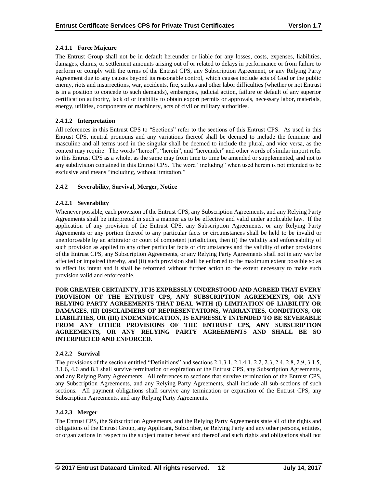## **2.4.1.1 Force Majeure**

The Entrust Group shall not be in default hereunder or liable for any losses, costs, expenses, liabilities, damages, claims, or settlement amounts arising out of or related to delays in performance or from failure to perform or comply with the terms of the Entrust CPS, any Subscription Agreement, or any Relying Party Agreement due to any causes beyond its reasonable control, which causes include acts of God or the public enemy, riots and insurrections, war, accidents, fire, strikes and other labor difficulties (whether or not Entrust is in a position to concede to such demands), embargoes, judicial action, failure or default of any superior certification authority, lack of or inability to obtain export permits or approvals, necessary labor, materials, energy, utilities, components or machinery, acts of civil or military authorities.

## **2.4.1.2 Interpretation**

All references in this Entrust CPS to "Sections" refer to the sections of this Entrust CPS. As used in this Entrust CPS, neutral pronouns and any variations thereof shall be deemed to include the feminine and masculine and all terms used in the singular shall be deemed to include the plural, and vice versa, as the context may require. The words "hereof", "herein", and "hereunder" and other words of similar import refer to this Entrust CPS as a whole, as the same may from time to time be amended or supplemented, and not to any subdivision contained in this Entrust CPS. The word "including" when used herein is not intended to be exclusive and means "including, without limitation."

## **2.4.2 Severability, Survival, Merger, Notice**

## **2.4.2.1 Severability**

Whenever possible, each provision of the Entrust CPS, any Subscription Agreements, and any Relying Party Agreements shall be interpreted in such a manner as to be effective and valid under applicable law. If the application of any provision of the Entrust CPS, any Subscription Agreements, or any Relying Party Agreements or any portion thereof to any particular facts or circumstances shall be held to be invalid or unenforceable by an arbitrator or court of competent jurisdiction, then (i) the validity and enforceability of such provision as applied to any other particular facts or circumstances and the validity of other provisions of the Entrust CPS, any Subscription Agreements, or any Relying Party Agreements shall not in any way be affected or impaired thereby, and (ii) such provision shall be enforced to the maximum extent possible so as to effect its intent and it shall be reformed without further action to the extent necessary to make such provision valid and enforceable.

**FOR GREATER CERTAINTY, IT IS EXPRESSLY UNDERSTOOD AND AGREED THAT EVERY PROVISION OF THE ENTRUST CPS, ANY SUBSCRIPTION AGREEMENTS, OR ANY RELYING PARTY AGREEMENTS THAT DEAL WITH (I) LIMITATION OF LIABILITY OR DAMAGES, (II) DISCLAIMERS OF REPRESENTATIONS, WARRANTIES, CONDITIONS, OR LIABILITIES, OR (III) INDEMNIFICATION, IS EXPRESSLY INTENDED TO BE SEVERABLE FROM ANY OTHER PROVISIONS OF THE ENTRUST CPS, ANY SUBSCRIPTION AGREEMENTS, OR ANY RELYING PARTY AGREEMENTS AND SHALL BE SO INTERPRETED AND ENFORCED.**

#### **2.4.2.2 Survival**

The provisions of the section entitled "Definitions" and sections 2.1.3.1, 2.1.4.1, 2.2, 2.3, 2.4, 2.8, 2.9, 3.1.5, 3.1.6, 4.6 and 8.1 shall survive termination or expiration of the Entrust CPS, any Subscription Agreements, and any Relying Party Agreements. All references to sections that survive termination of the Entrust CPS, any Subscription Agreements, and any Relying Party Agreements, shall include all sub-sections of such sections. All payment obligations shall survive any termination or expiration of the Entrust CPS, any Subscription Agreements, and any Relying Party Agreements.

#### **2.4.2.3 Merger**

The Entrust CPS, the Subscription Agreements, and the Relying Party Agreements state all of the rights and obligations of the Entrust Group, any Applicant, Subscriber, or Relying Party and any other persons, entities, or organizations in respect to the subject matter hereof and thereof and such rights and obligations shall not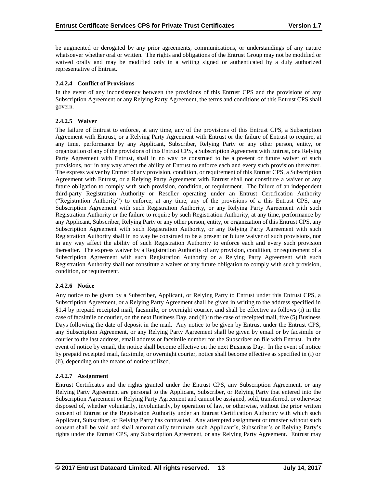be augmented or derogated by any prior agreements, communications, or understandings of any nature whatsoever whether oral or written. The rights and obligations of the Entrust Group may not be modified or waived orally and may be modified only in a writing signed or authenticated by a duly authorized representative of Entrust.

## **2.4.2.4 Conflict of Provisions**

In the event of any inconsistency between the provisions of this Entrust CPS and the provisions of any Subscription Agreement or any Relying Party Agreement, the terms and conditions of this Entrust CPS shall govern.

## **2.4.2.5 Waiver**

The failure of Entrust to enforce, at any time, any of the provisions of this Entrust CPS, a Subscription Agreement with Entrust, or a Relying Party Agreement with Entrust or the failure of Entrust to require, at any time, performance by any Applicant, Subscriber, Relying Party or any other person, entity, or organization of any of the provisions of this Entrust CPS, a Subscription Agreement with Entrust, or a Relying Party Agreement with Entrust, shall in no way be construed to be a present or future waiver of such provisions, nor in any way affect the ability of Entrust to enforce each and every such provision thereafter. The express waiver by Entrust of any provision, condition, or requirement of this Entrust CPS, a Subscription Agreement with Entrust, or a Relying Party Agreement with Entrust shall not constitute a waiver of any future obligation to comply with such provision, condition, or requirement. The failure of an independent third-party Registration Authority or Reseller operating under an Entrust Certification Authority ("Registration Authority") to enforce, at any time, any of the provisions of a this Entrust CPS, any Subscription Agreement with such Registration Authority, or any Relying Party Agreement with such Registration Authority or the failure to require by such Registration Authority, at any time, performance by any Applicant, Subscriber, Relying Party or any other person, entity, or organization of this Entrust CPS, any Subscription Agreement with such Registration Authority, or any Relying Party Agreement with such Registration Authority shall in no way be construed to be a present or future waiver of such provisions, nor in any way affect the ability of such Registration Authority to enforce each and every such provision thereafter. The express waiver by a Registration Authority of any provision, condition, or requirement of a Subscription Agreement with such Registration Authority or a Relying Party Agreement with such Registration Authority shall not constitute a waiver of any future obligation to comply with such provision, condition, or requirement.

## **2.4.2.6 Notice**

Any notice to be given by a Subscriber, Applicant, or Relying Party to Entrust under this Entrust CPS, a Subscription Agreement, or a Relying Party Agreement shall be given in writing to the address specified in §1.4 by prepaid receipted mail, facsimile, or overnight courier, and shall be effective as follows (i) in the case of facsimile or courier, on the next Business Day, and (ii) in the case of receipted mail, five (5) Business Days following the date of deposit in the mail. Any notice to be given by Entrust under the Entrust CPS, any Subscription Agreement, or any Relying Party Agreement shall be given by email or by facsimile or courier to the last address, email address or facsimile number for the Subscriber on file with Entrust. In the event of notice by email, the notice shall become effective on the next Business Day. In the event of notice by prepaid receipted mail, facsimile, or overnight courier, notice shall become effective as specified in (i) or (ii), depending on the means of notice utilized.

## **2.4.2.7 Assignment**

Entrust Certificates and the rights granted under the Entrust CPS, any Subscription Agreement, or any Relying Party Agreement are personal to the Applicant, Subscriber, or Relying Party that entered into the Subscription Agreement or Relying Party Agreement and cannot be assigned, sold, transferred, or otherwise disposed of, whether voluntarily, involuntarily, by operation of law, or otherwise, without the prior written consent of Entrust or the Registration Authority under an Entrust Certification Authority with which such Applicant, Subscriber, or Relying Party has contracted. Any attempted assignment or transfer without such consent shall be void and shall automatically terminate such Applicant's, Subscriber's or Relying Party's rights under the Entrust CPS, any Subscription Agreement, or any Relying Party Agreement. Entrust may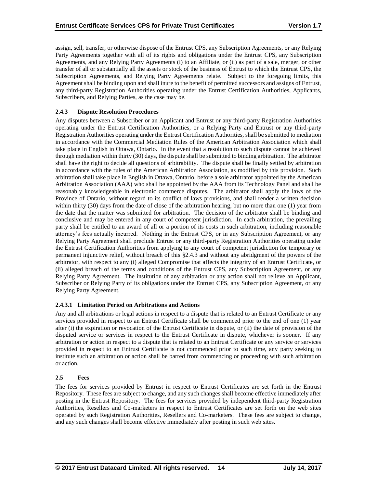assign, sell, transfer, or otherwise dispose of the Entrust CPS, any Subscription Agreements, or any Relying Party Agreements together with all of its rights and obligations under the Entrust CPS, any Subscription Agreements, and any Relying Party Agreements (i) to an Affiliate, or (ii) as part of a sale, merger, or other transfer of all or substantially all the assets or stock of the business of Entrust to which the Entrust CPS, the Subscription Agreements, and Relying Party Agreements relate. Subject to the foregoing limits, this Agreement shall be binding upon and shall inure to the benefit of permitted successors and assigns of Entrust, any third-party Registration Authorities operating under the Entrust Certification Authorities, Applicants, Subscribers, and Relying Parties, as the case may be.

## **2.4.3 Dispute Resolution Procedures**

Any disputes between a Subscriber or an Applicant and Entrust or any third-party Registration Authorities operating under the Entrust Certification Authorities, or a Relying Party and Entrust or any third-party Registration Authorities operating under the Entrust Certification Authorities, shall be submitted to mediation in accordance with the Commercial Mediation Rules of the American Arbitration Association which shall take place in English in Ottawa, Ontario. In the event that a resolution to such dispute cannot be achieved through mediation within thirty (30) days, the dispute shall be submitted to binding arbitration. The arbitrator shall have the right to decide all questions of arbitrability. The dispute shall be finally settled by arbitration in accordance with the rules of the American Arbitration Association, as modified by this provision. Such arbitration shall take place in English in Ottawa, Ontario, before a sole arbitrator appointed by the American Arbitration Association (AAA) who shall be appointed by the AAA from its Technology Panel and shall be reasonably knowledgeable in electronic commerce disputes. The arbitrator shall apply the laws of the Province of Ontario, without regard to its conflict of laws provisions, and shall render a written decision within thirty (30) days from the date of close of the arbitration hearing, but no more than one (1) year from the date that the matter was submitted for arbitration. The decision of the arbitrator shall be binding and conclusive and may be entered in any court of competent jurisdiction. In each arbitration, the prevailing party shall be entitled to an award of all or a portion of its costs in such arbitration, including reasonable attorney's fees actually incurred. Nothing in the Entrust CPS, or in any Subscription Agreement, or any Relying Party Agreement shall preclude Entrust or any third-party Registration Authorities operating under the Entrust Certification Authorities from applying to any court of competent jurisdiction for temporary or permanent injunctive relief, without breach of this §2.4.3 and without any abridgment of the powers of the arbitrator, with respect to any (i) alleged Compromise that affects the integrity of an Entrust Certificate, or (ii) alleged breach of the terms and conditions of the Entrust CPS, any Subscription Agreement, or any Relying Party Agreement. The institution of any arbitration or any action shall not relieve an Applicant, Subscriber or Relying Party of its obligations under the Entrust CPS, any Subscription Agreement, or any Relying Party Agreement.

#### **2.4.3.1 Limitation Period on Arbitrations and Actions**

Any and all arbitrations or legal actions in respect to a dispute that is related to an Entrust Certificate or any services provided in respect to an Entrust Certificate shall be commenced prior to the end of one (1) year after (i) the expiration or revocation of the Entrust Certificate in dispute, or (ii) the date of provision of the disputed service or services in respect to the Entrust Certificate in dispute, whichever is sooner. If any arbitration or action in respect to a dispute that is related to an Entrust Certificate or any service or services provided in respect to an Entrust Certificate is not commenced prior to such time, any party seeking to institute such an arbitration or action shall be barred from commencing or proceeding with such arbitration or action.

#### **2.5 Fees**

The fees for services provided by Entrust in respect to Entrust Certificates are set forth in the Entrust Repository. These fees are subject to change, and any such changes shall become effective immediately after posting in the Entrust Repository. The fees for services provided by independent third-party Registration Authorities, Resellers and Co-marketers in respect to Entrust Certificates are set forth on the web sites operated by such Registration Authorities, Resellers and Co-marketers. These fees are subject to change, and any such changes shall become effective immediately after posting in such web sites.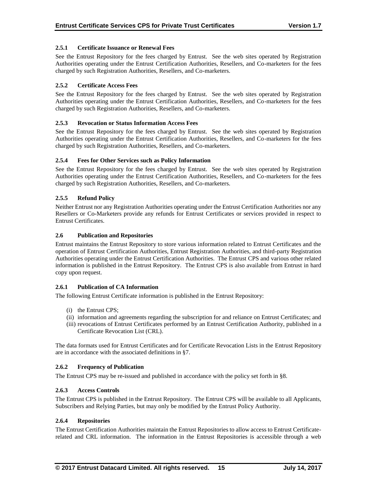## **2.5.1 Certificate Issuance or Renewal Fees**

See the Entrust Repository for the fees charged by Entrust. See the web sites operated by Registration Authorities operating under the Entrust Certification Authorities, Resellers, and Co-marketers for the fees charged by such Registration Authorities, Resellers, and Co-marketers.

## **2.5.2 Certificate Access Fees**

See the Entrust Repository for the fees charged by Entrust. See the web sites operated by Registration Authorities operating under the Entrust Certification Authorities, Resellers, and Co-marketers for the fees charged by such Registration Authorities, Resellers, and Co-marketers.

## **2.5.3 Revocation or Status Information Access Fees**

See the Entrust Repository for the fees charged by Entrust. See the web sites operated by Registration Authorities operating under the Entrust Certification Authorities, Resellers, and Co-marketers for the fees charged by such Registration Authorities, Resellers, and Co-marketers.

## **2.5.4 Fees for Other Services such as Policy Information**

See the Entrust Repository for the fees charged by Entrust. See the web sites operated by Registration Authorities operating under the Entrust Certification Authorities, Resellers, and Co-marketers for the fees charged by such Registration Authorities, Resellers, and Co-marketers.

## **2.5.5 Refund Policy**

Neither Entrust nor any Registration Authorities operating under the Entrust Certification Authorities nor any Resellers or Co-Marketers provide any refunds for Entrust Certificates or services provided in respect to Entrust Certificates.

#### **2.6 Publication and Repositories**

Entrust maintains the Entrust Repository to store various information related to Entrust Certificates and the operation of Entrust Certification Authorities, Entrust Registration Authorities, and third-party Registration Authorities operating under the Entrust Certification Authorities. The Entrust CPS and various other related information is published in the Entrust Repository. The Entrust CPS is also available from Entrust in hard copy upon request.

#### **2.6.1 Publication of CA Information**

The following Entrust Certificate information is published in the Entrust Repository:

- (i) the Entrust CPS;
- (ii) information and agreements regarding the subscription for and reliance on Entrust Certificates; and
- (iii) revocations of Entrust Certificates performed by an Entrust Certification Authority, published in a Certificate Revocation List (CRL).

The data formats used for Entrust Certificates and for Certificate Revocation Lists in the Entrust Repository are in accordance with the associated definitions in §7.

#### **2.6.2 Frequency of Publication**

The Entrust CPS may be re-issued and published in accordance with the policy set forth in §8.

#### **2.6.3 Access Controls**

The Entrust CPS is published in the Entrust Repository. The Entrust CPS will be available to all Applicants, Subscribers and Relying Parties, but may only be modified by the Entrust Policy Authority.

#### **2.6.4 Repositories**

The Entrust Certification Authorities maintain the Entrust Repositories to allow access to Entrust Certificaterelated and CRL information. The information in the Entrust Repositories is accessible through a web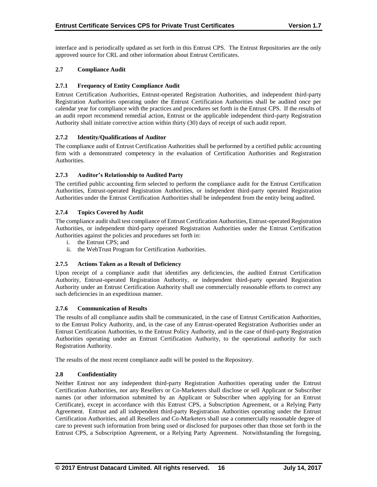interface and is periodically updated as set forth in this Entrust CPS. The Entrust Repositories are the only approved source for CRL and other information about Entrust Certificates.

## **2.7 Compliance Audit**

## **2.7.1 Frequency of Entity Compliance Audit**

Entrust Certification Authorities, Entrust-operated Registration Authorities, and independent third-party Registration Authorities operating under the Entrust Certification Authorities shall be audited once per calendar year for compliance with the practices and procedures set forth in the Entrust CPS. If the results of an audit report recommend remedial action, Entrust or the applicable independent third-party Registration Authority shall initiate corrective action within thirty (30) days of receipt of such audit report.

## **2.7.2 Identity/Qualifications of Auditor**

The compliance audit of Entrust Certification Authorities shall be performed by a certified public accounting firm with a demonstrated competency in the evaluation of Certification Authorities and Registration Authorities.

## **2.7.3 Auditor's Relationship to Audited Party**

The certified public accounting firm selected to perform the compliance audit for the Entrust Certification Authorities, Entrust-operated Registration Authorities, or independent third-party operated Registration Authorities under the Entrust Certification Authorities shall be independent from the entity being audited.

## **2.7.4 Topics Covered by Audit**

The compliance audit shall test compliance of Entrust Certification Authorities, Entrust-operated Registration Authorities, or independent third-party operated Registration Authorities under the Entrust Certification Authorities against the policies and procedures set forth in:

- i. the Entrust CPS; and
- ii. the WebTrust Program for Certification Authorities.

#### **2.7.5 Actions Taken as a Result of Deficiency**

Upon receipt of a compliance audit that identifies any deficiencies, the audited Entrust Certification Authority, Entrust-operated Registration Authority, or independent third-party operated Registration Authority under an Entrust Certification Authority shall use commercially reasonable efforts to correct any such deficiencies in an expeditious manner.

#### **2.7.6 Communication of Results**

The results of all compliance audits shall be communicated, in the case of Entrust Certification Authorities, to the Entrust Policy Authority, and, in the case of any Entrust-operated Registration Authorities under an Entrust Certification Authorities, to the Entrust Policy Authority, and in the case of third-party Registration Authorities operating under an Entrust Certification Authority, to the operational authority for such Registration Authority.

The results of the most recent compliance audit will be posted to the Repository.

#### **2.8 Confidentiality**

Neither Entrust nor any independent third-party Registration Authorities operating under the Entrust Certification Authorities, nor any Resellers or Co-Marketers shall disclose or sell Applicant or Subscriber names (or other information submitted by an Applicant or Subscriber when applying for an Entrust Certificate), except in accordance with this Entrust CPS, a Subscription Agreement, or a Relying Party Agreement. Entrust and all independent third-party Registration Authorities operating under the Entrust Certification Authorities, and all Resellers and Co-Marketers shall use a commercially reasonable degree of care to prevent such information from being used or disclosed for purposes other than those set forth in the Entrust CPS, a Subscription Agreement, or a Relying Party Agreement. Notwithstanding the foregoing,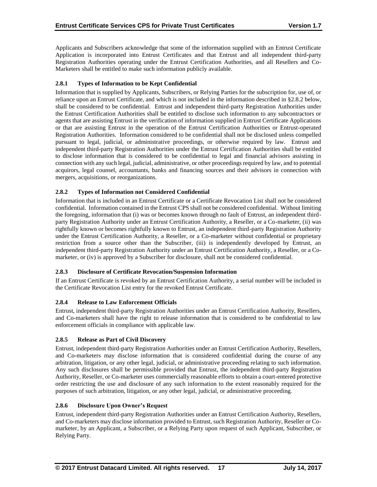Applicants and Subscribers acknowledge that some of the information supplied with an Entrust Certificate Application is incorporated into Entrust Certificates and that Entrust and all independent third-party Registration Authorities operating under the Entrust Certification Authorities, and all Resellers and Co-Marketers shall be entitled to make such information publicly available.

## **2.8.1 Types of Information to be Kept Confidential**

Information that is supplied by Applicants, Subscribers, or Relying Parties for the subscription for, use of, or reliance upon an Entrust Certificate, and which is not included in the information described in §2.8.2 below, shall be considered to be confidential. Entrust and independent third-party Registration Authorities under the Entrust Certification Authorities shall be entitled to disclose such information to any subcontractors or agents that are assisting Entrust in the verification of information supplied in Entrust Certificate Applications or that are assisting Entrust in the operation of the Entrust Certification Authorities or Entrust-operated Registration Authorities. Information considered to be confidential shall not be disclosed unless compelled pursuant to legal, judicial, or administrative proceedings, or otherwise required by law. Entrust and independent third-party Registration Authorities under the Entrust Certification Authorities shall be entitled to disclose information that is considered to be confidential to legal and financial advisors assisting in connection with any such legal, judicial, administrative, or other proceedings required by law, and to potential acquirors, legal counsel, accountants, banks and financing sources and their advisors in connection with mergers, acquisitions, or reorganizations.

## **2.8.2 Types of Information not Considered Confidential**

Information that is included in an Entrust Certificate or a Certificate Revocation List shall not be considered confidential. Information contained in the Entrust CPS shall not be considered confidential. Without limiting the foregoing, information that (i) was or becomes known through no fault of Entrust, an independent thirdparty Registration Authority under an Entrust Certification Authority, a Reseller, or a Co-marketer, (ii) was rightfully known or becomes rightfully known to Entrust, an independent third-party Registration Authority under the Entrust Certification Authority, a Reseller, or a Co-marketer without confidential or proprietary restriction from a source other than the Subscriber, (iii) is independently developed by Entrust, an independent third-party Registration Authority under an Entrust Certification Authority, a Reseller, or a Comarketer, or (iv) is approved by a Subscriber for disclosure, shall not be considered confidential.

## **2.8.3 Disclosure of Certificate Revocation/Suspension Information**

If an Entrust Certificate is revoked by an Entrust Certification Authority, a serial number will be included in the Certificate Revocation List entry for the revoked Entrust Certificate.

#### **2.8.4 Release to Law Enforcement Officials**

Entrust, independent third-party Registration Authorities under an Entrust Certification Authority, Resellers, and Co-marketers shall have the right to release information that is considered to be confidential to law enforcement officials in compliance with applicable law.

#### **2.8.5 Release as Part of Civil Discovery**

Entrust, independent third-party Registration Authorities under an Entrust Certification Authority, Resellers, and Co-marketers may disclose information that is considered confidential during the course of any arbitration, litigation, or any other legal, judicial, or administrative proceeding relating to such information. Any such disclosures shall be permissible provided that Entrust, the independent third-party Registration Authority, Reseller, or Co-marketer uses commercially reasonable efforts to obtain a court-entered protective order restricting the use and disclosure of any such information to the extent reasonably required for the purposes of such arbitration, litigation, or any other legal, judicial, or administrative proceeding.

#### **2.8.6 Disclosure Upon Owner's Request**

Entrust, independent third-party Registration Authorities under an Entrust Certification Authority, Resellers, and Co-marketers may disclose information provided to Entrust, such Registration Authority, Reseller or Comarketer, by an Applicant, a Subscriber, or a Relying Party upon request of such Applicant, Subscriber, or Relying Party.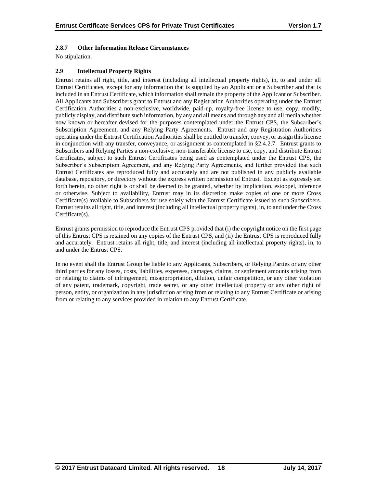## **2.8.7 Other Information Release Circumstances**

No stipulation.

## **2.9 Intellectual Property Rights**

Entrust retains all right, title, and interest (including all intellectual property rights), in, to and under all Entrust Certificates, except for any information that is supplied by an Applicant or a Subscriber and that is included in an Entrust Certificate, which information shall remain the property of the Applicant or Subscriber. All Applicants and Subscribers grant to Entrust and any Registration Authorities operating under the Entrust Certification Authorities a non-exclusive, worldwide, paid-up, royalty-free license to use, copy, modify, publicly display, and distribute such information, by any and all means and through any and all media whether now known or hereafter devised for the purposes contemplated under the Entrust CPS, the Subscriber's Subscription Agreement, and any Relying Party Agreements. Entrust and any Registration Authorities operating under the Entrust Certification Authorities shall be entitled to transfer, convey, or assign this license in conjunction with any transfer, conveyance, or assignment as contemplated in §2.4.2.7. Entrust grants to Subscribers and Relying Parties a non-exclusive, non-transferable license to use, copy, and distribute Entrust Certificates, subject to such Entrust Certificates being used as contemplated under the Entrust CPS, the Subscriber's Subscription Agreement, and any Relying Party Agreements, and further provided that such Entrust Certificates are reproduced fully and accurately and are not published in any publicly available database, repository, or directory without the express written permission of Entrust. Except as expressly set forth herein, no other right is or shall be deemed to be granted, whether by implication, estoppel, inference or otherwise. Subject to availability, Entrust may in its discretion make copies of one or more Cross Certificate(s) available to Subscribers for use solely with the Entrust Certificate issued to such Subscribers. Entrust retains all right, title, and interest (including all intellectual property rights), in, to and under the Cross Certificate(s).

Entrust grants permission to reproduce the Entrust CPS provided that (i) the copyright notice on the first page of this Entrust CPS is retained on any copies of the Entrust CPS, and (ii) the Entrust CPS is reproduced fully and accurately. Entrust retains all right, title, and interest (including all intellectual property rights), in, to and under the Entrust CPS.

In no event shall the Entrust Group be liable to any Applicants, Subscribers, or Relying Parties or any other third parties for any losses, costs, liabilities, expenses, damages, claims, or settlement amounts arising from or relating to claims of infringement, misappropriation, dilution, unfair competition, or any other violation of any patent, trademark, copyright, trade secret, or any other intellectual property or any other right of person, entity, or organization in any jurisdiction arising from or relating to any Entrust Certificate or arising from or relating to any services provided in relation to any Entrust Certificate.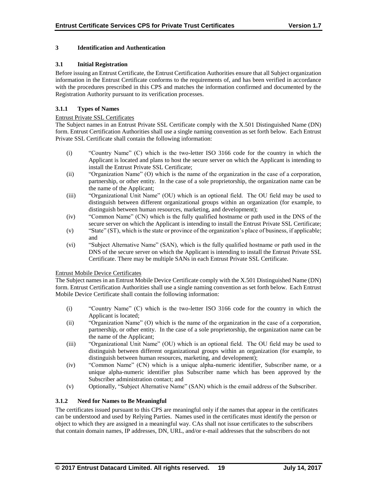## **3 Identification and Authentication**

## **3.1 Initial Registration**

Before issuing an Entrust Certificate, the Entrust Certification Authorities ensure that all Subject organization information in the Entrust Certificate conforms to the requirements of, and has been verified in accordance with the procedures prescribed in this CPS and matches the information confirmed and documented by the Registration Authority pursuant to its verification processes.

## **3.1.1 Types of Names**

#### Entrust Private SSL Certificates

The Subject names in an Entrust Private SSL Certificate comply with the X.501 Distinguished Name (DN) form. Entrust Certification Authorities shall use a single naming convention as set forth below. Each Entrust Private SSL Certificate shall contain the following information:

- (i) "Country Name" (C) which is the two-letter ISO 3166 code for the country in which the Applicant is located and plans to host the secure server on which the Applicant is intending to install the Entrust Private SSL Certificate;
- (ii) "Organization Name" (O) which is the name of the organization in the case of a corporation, partnership, or other entity. In the case of a sole proprietorship, the organization name can be the name of the Applicant;
- (iii) "Organizational Unit Name" (OU) which is an optional field. The OU field may be used to distinguish between different organizational groups within an organization (for example, to distinguish between human resources, marketing, and development);
- (iv) "Common Name" (CN) which is the fully qualified hostname or path used in the DNS of the secure server on which the Applicant is intending to install the Entrust Private SSL Certificate;
- (v) "State" (ST), which is the state or province of the organization's place of business, if applicable; and
- (vi) "Subject Alternative Name" (SAN), which is the fully qualified hostname or path used in the DNS of the secure server on which the Applicant is intending to install the Entrust Private SSL Certificate. There may be multiple SANs in each Entrust Private SSL Certificate.

#### Entrust Mobile Device Certificates

The Subject names in an Entrust Mobile Device Certificate comply with the X.501 Distinguished Name (DN) form. Entrust Certification Authorities shall use a single naming convention as set forth below. Each Entrust Mobile Device Certificate shall contain the following information:

- (i) "Country Name" (C) which is the two-letter ISO 3166 code for the country in which the Applicant is located;
- (ii) "Organization Name" (O) which is the name of the organization in the case of a corporation, partnership, or other entity. In the case of a sole proprietorship, the organization name can be the name of the Applicant;
- (iii) "Organizational Unit Name" (OU) which is an optional field. The OU field may be used to distinguish between different organizational groups within an organization (for example, to distinguish between human resources, marketing, and development);
- (iv) "Common Name" (CN) which is a unique alpha-numeric identifier, Subscriber name, or a unique alpha-numeric identifier plus Subscriber name which has been approved by the Subscriber administration contact; and
- (v) Optionally, "Subject Alternative Name" (SAN) which is the email address of the Subscriber.

## **3.1.2 Need for Names to Be Meaningful**

The certificates issued pursuant to this CPS are meaningful only if the names that appear in the certificates can be understood and used by Relying Parties. Names used in the certificates must identify the person or object to which they are assigned in a meaningful way. CAs shall not issue certificates to the subscribers that contain domain names, IP addresses, DN, URL, and/or e-mail addresses that the subscribers do not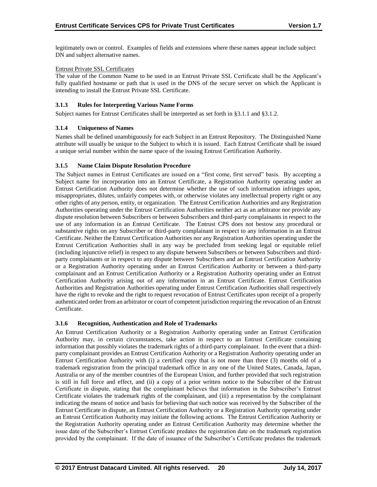legitimately own or control. Examples of fields and extensions where these names appear include subject DN and subject alternative names.

## Entrust Private SSL Certificates

The value of the Common Name to be used in an Entrust Private SSL Certificate shall be the Applicant's fully qualified hostname or path that is used in the DNS of the secure server on which the Applicant is intending to install the Entrust Private SSL Certificate.

## **3.1.3 Rules for Interpreting Various Name Forms**

Subject names for Entrust Certificates shall be interpreted as set forth in §3.1.1 and §3.1.2.

## **3.1.4 Uniqueness of Names**

Names shall be defined unambiguously for each Subject in an Entrust Repository. The Distinguished Name attribute will usually be unique to the Subject to which it is issued. Each Entrust Certificate shall be issued a unique serial number within the name space of the issuing Entrust Certification Authority.

## **3.1.5 Name Claim Dispute Resolution Procedure**

The Subject names in Entrust Certificates are issued on a "first come, first served" basis. By accepting a Subject name for incorporation into an Entrust Certificate, a Registration Authority operating under an Entrust Certification Authority does not determine whether the use of such information infringes upon, misappropriates, dilutes, unfairly competes with, or otherwise violates any intellectual property right or any other rights of any person, entity, or organization. The Entrust Certification Authorities and any Registration Authorities operating under the Entrust Certification Authorities neither act as an arbitrator nor provide any dispute resolution between Subscribers or between Subscribers and third-party complainants in respect to the use of any information in an Entrust Certificate. The Entrust CPS does not bestow any procedural or substantive rights on any Subscriber or third-party complainant in respect to any information in an Entrust Certificate. Neither the Entrust Certification Authorities nor any Registration Authorities operating under the Entrust Certification Authorities shall in any way be precluded from seeking legal or equitable relief (including injunctive relief) in respect to any dispute between Subscribers or between Subscribers and thirdparty complainants or in respect to any dispute between Subscribers and an Entrust Certification Authority or a Registration Authority operating under an Entrust Certification Authority or between a third-party complainant and an Entrust Certification Authority or a Registration Authority operating under an Entrust Certification Authority arising out of any information in an Entrust Certificate. Entrust Certification Authorities and Registration Authorities operating under Entrust Certification Authorities shall respectively have the right to revoke and the right to request revocation of Entrust Certificates upon receipt of a properly authenticated order from an arbitrator or court of competent jurisdiction requiring the revocation of an Entrust Certificate.

#### **3.1.6 Recognition, Authentication and Role of Trademarks**

An Entrust Certification Authority or a Registration Authority operating under an Entrust Certification Authority may, in certain circumstances, take action in respect to an Entrust Certificate containing information that possibly violates the trademark rights of a third-party complainant. In the event that a thirdparty complainant provides an Entrust Certification Authority or a Registration Authority operating under an Entrust Certification Authority with (i) a certified copy that is not more than three (3) months old of a trademark registration from the principal trademark office in any one of the United States, Canada, Japan, Australia or any of the member countries of the European Union, and further provided that such registration is still in full force and effect, and (ii) a copy of a prior written notice to the Subscriber of the Entrust Certificate in dispute, stating that the complainant believes that information in the Subscriber's Entrust Certificate violates the trademark rights of the complainant, and (iii) a representation by the complainant indicating the means of notice and basis for believing that such notice was received by the Subscriber of the Entrust Certificate in dispute, an Entrust Certification Authority or a Registration Authority operating under an Entrust Certification Authority may initiate the following actions. The Entrust Certification Authority or the Registration Authority operating under an Entrust Certification Authority may determine whether the issue date of the Subscriber's Entrust Certificate predates the registration date on the trademark registration provided by the complainant. If the date of issuance of the Subscriber's Certificate predates the trademark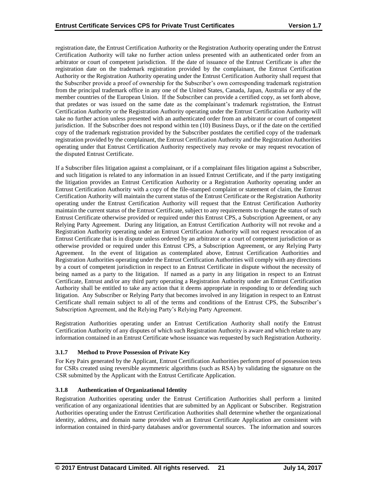registration date, the Entrust Certification Authority or the Registration Authority operating under the Entrust Certification Authority will take no further action unless presented with an authenticated order from an arbitrator or court of competent jurisdiction. If the date of issuance of the Entrust Certificate is after the registration date on the trademark registration provided by the complainant, the Entrust Certification Authority or the Registration Authority operating under the Entrust Certification Authority shall request that the Subscriber provide a proof of ownership for the Subscriber's own corresponding trademark registration from the principal trademark office in any one of the United States, Canada, Japan, Australia or any of the member countries of the European Union. If the Subscriber can provide a certified copy, as set forth above, that predates or was issued on the same date as the complainant's trademark registration, the Entrust Certification Authority or the Registration Authority operating under the Entrust Certification Authority will take no further action unless presented with an authenticated order from an arbitrator or court of competent jurisdiction. If the Subscriber does not respond within ten (10) Business Days, or if the date on the certified copy of the trademark registration provided by the Subscriber postdates the certified copy of the trademark registration provided by the complainant, the Entrust Certification Authority and the Registration Authorities operating under that Entrust Certification Authority respectively may revoke or may request revocation of the disputed Entrust Certificate.

If a Subscriber files litigation against a complainant, or if a complainant files litigation against a Subscriber, and such litigation is related to any information in an issued Entrust Certificate, and if the party instigating the litigation provides an Entrust Certification Authority or a Registration Authority operating under an Entrust Certification Authority with a copy of the file-stamped complaint or statement of claim, the Entrust Certification Authority will maintain the current status of the Entrust Certificate or the Registration Authority operating under the Entrust Certification Authority will request that the Entrust Certification Authority maintain the current status of the Entrust Certificate, subject to any requirements to change the status of such Entrust Certificate otherwise provided or required under this Entrust CPS, a Subscription Agreement, or any Relying Party Agreement. During any litigation, an Entrust Certification Authority will not revoke and a Registration Authority operating under an Entrust Certification Authority will not request revocation of an Entrust Certificate that is in dispute unless ordered by an arbitrator or a court of competent jurisdiction or as otherwise provided or required under this Entrust CPS, a Subscription Agreement, or any Relying Party Agreement. In the event of litigation as contemplated above, Entrust Certification Authorities and Registration Authorities operating under the Entrust Certification Authorities will comply with any directions by a court of competent jurisdiction in respect to an Entrust Certificate in dispute without the necessity of being named as a party to the litigation. If named as a party in any litigation in respect to an Entrust Certificate, Entrust and/or any third party operating a Registration Authority under an Entrust Certification Authority shall be entitled to take any action that it deems appropriate in responding to or defending such litigation. Any Subscriber or Relying Party that becomes involved in any litigation in respect to an Entrust Certificate shall remain subject to all of the terms and conditions of the Entrust CPS, the Subscriber's Subscription Agreement, and the Relying Party's Relying Party Agreement.

Registration Authorities operating under an Entrust Certification Authority shall notify the Entrust Certification Authority of any disputes of which such Registration Authority is aware and which relate to any information contained in an Entrust Certificate whose issuance was requested by such Registration Authority.

## **3.1.7 Method to Prove Possession of Private Key**

For Key Pairs generated by the Applicant, Entrust Certification Authorities perform proof of possession tests for CSRs created using reversible asymmetric algorithms (such as RSA) by validating the signature on the CSR submitted by the Applicant with the Entrust Certificate Application.

#### **3.1.8 Authentication of Organizational Identity**

Registration Authorities operating under the Entrust Certification Authorities shall perform a limited verification of any organizational identities that are submitted by an Applicant or Subscriber. Registration Authorities operating under the Entrust Certification Authorities shall determine whether the organizational identity, address, and domain name provided with an Entrust Certificate Application are consistent with information contained in third-party databases and/or governmental sources. The information and sources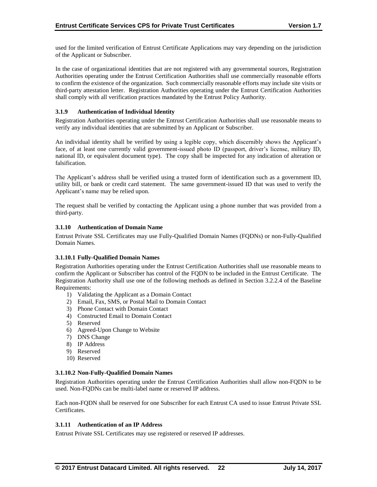used for the limited verification of Entrust Certificate Applications may vary depending on the jurisdiction of the Applicant or Subscriber.

In the case of organizational identities that are not registered with any governmental sources, Registration Authorities operating under the Entrust Certification Authorities shall use commercially reasonable efforts to confirm the existence of the organization. Such commercially reasonable efforts may include site visits or third-party attestation letter. Registration Authorities operating under the Entrust Certification Authorities shall comply with all verification practices mandated by the Entrust Policy Authority.

## **3.1.9 Authentication of Individual Identity**

Registration Authorities operating under the Entrust Certification Authorities shall use reasonable means to verify any individual identities that are submitted by an Applicant or Subscriber.

An individual identity shall be verified by using a legible copy, which discernibly shows the Applicant's face, of at least one currently valid government-issued photo ID (passport, driver's license, military ID, national ID, or equivalent document type). The copy shall be inspected for any indication of alteration or falsification.

The Applicant's address shall be verified using a trusted form of identification such as a government ID, utility bill, or bank or credit card statement. The same government-issued ID that was used to verify the Applicant's name may be relied upon.

The request shall be verified by contacting the Applicant using a phone number that was provided from a third-party.

#### **3.1.10 Authentication of Domain Name**

Entrust Private SSL Certificates may use Fully-Qualified Domain Names (FQDNs) or non-Fully-Qualified Domain Names.

#### **3.1.10.1 Fully-Qualified Domain Names**

Registration Authorities operating under the Entrust Certification Authorities shall use reasonable means to confirm the Applicant or Subscriber has control of the FQDN to be included in the Entrust Certificate. The Registration Authority shall use one of the following methods as defined in Section 3.2.2.4 of the Baseline Requirements:

- 1) Validating the Applicant as a Domain Contact
- 2) Email, Fax, SMS, or Postal Mail to Domain Contact
- 3) Phone Contact with Domain Contact
- 4) Constructed Email to Domain Contact
- 5) Reserved
- 6) Agreed-Upon Change to Website
- 7) DNS Change
- 8) IP Address
- 9) Reserved
- 10) Reserved

#### **3.1.10.2 Non-Fully-Qualified Domain Names**

Registration Authorities operating under the Entrust Certification Authorities shall allow non-FQDN to be used. Non-FQDNs can be multi-label name or reserved IP address.

Each non-FQDN shall be reserved for one Subscriber for each Entrust CA used to issue Entrust Private SSL Certificates.

## **3.1.11 Authentication of an IP Address**

Entrust Private SSL Certificates may use registered or reserved IP addresses.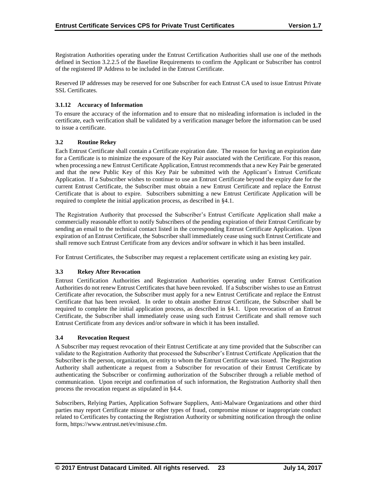Registration Authorities operating under the Entrust Certification Authorities shall use one of the methods defined in Section 3.2.2.5 of the Baseline Requirements to confirm the Applicant or Subscriber has control of the registered IP Address to be included in the Entrust Certificate.

Reserved IP addresses may be reserved for one Subscriber for each Entrust CA used to issue Entrust Private SSL Certificates.

## **3.1.12 Accuracy of Information**

To ensure the accuracy of the information and to ensure that no misleading information is included in the certificate, each verification shall be validated by a verification manager before the information can be used to issue a certificate.

## **3.2 Routine Rekey**

Each Entrust Certificate shall contain a Certificate expiration date. The reason for having an expiration date for a Certificate is to minimize the exposure of the Key Pair associated with the Certificate. For this reason, when processing a new Entrust Certificate Application, Entrust recommends that a new Key Pair be generated and that the new Public Key of this Key Pair be submitted with the Applicant's Entrust Certificate Application. If a Subscriber wishes to continue to use an Entrust Certificate beyond the expiry date for the current Entrust Certificate, the Subscriber must obtain a new Entrust Certificate and replace the Entrust Certificate that is about to expire. Subscribers submitting a new Entrust Certificate Application will be required to complete the initial application process, as described in §4.1.

The Registration Authority that processed the Subscriber's Entrust Certificate Application shall make a commercially reasonable effort to notify Subscribers of the pending expiration of their Entrust Certificate by sending an email to the technical contact listed in the corresponding Entrust Certificate Application. Upon expiration of an Entrust Certificate, the Subscriber shall immediately cease using such Entrust Certificate and shall remove such Entrust Certificate from any devices and/or software in which it has been installed.

For Entrust Certificates, the Subscriber may request a replacement certificate using an existing key pair.

## **3.3 Rekey After Revocation**

Entrust Certification Authorities and Registration Authorities operating under Entrust Certification Authorities do not renew Entrust Certificates that have been revoked. If a Subscriber wishes to use an Entrust Certificate after revocation, the Subscriber must apply for a new Entrust Certificate and replace the Entrust Certificate that has been revoked. In order to obtain another Entrust Certificate, the Subscriber shall be required to complete the initial application process, as described in §4.1. Upon revocation of an Entrust Certificate, the Subscriber shall immediately cease using such Entrust Certificate and shall remove such Entrust Certificate from any devices and/or software in which it has been installed.

#### **3.4 Revocation Request**

A Subscriber may request revocation of their Entrust Certificate at any time provided that the Subscriber can validate to the Registration Authority that processed the Subscriber's Entrust Certificate Application that the Subscriber is the person, organization, or entity to whom the Entrust Certificate was issued. The Registration Authority shall authenticate a request from a Subscriber for revocation of their Entrust Certificate by authenticating the Subscriber or confirming authorization of the Subscriber through a reliable method of communication. Upon receipt and confirmation of such information, the Registration Authority shall then process the revocation request as stipulated in §4.4.

Subscribers, Relying Parties, Application Software Suppliers, Anti-Malware Organizations and other third parties may report Certificate misuse or other types of fraud, compromise misuse or inappropriate conduct related to Certificates by contacting the Registration Authority or submitting notification through the online form, https://www.entrust.net/ev/misuse.cfm.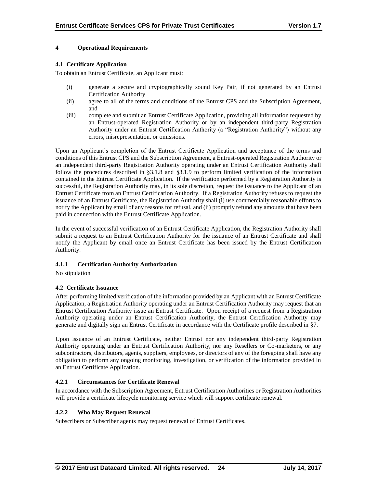## **4 Operational Requirements**

## **4.1 Certificate Application**

To obtain an Entrust Certificate, an Applicant must:

- (i) generate a secure and cryptographically sound Key Pair, if not generated by an Entrust Certification Authority
- (ii) agree to all of the terms and conditions of the Entrust CPS and the Subscription Agreement, and
- (iii) complete and submit an Entrust Certificate Application, providing all information requested by an Entrust-operated Registration Authority or by an independent third-party Registration Authority under an Entrust Certification Authority (a "Registration Authority") without any errors, misrepresentation, or omissions.

Upon an Applicant's completion of the Entrust Certificate Application and acceptance of the terms and conditions of this Entrust CPS and the Subscription Agreement, a Entrust-operated Registration Authority or an independent third-party Registration Authority operating under an Entrust Certification Authority shall follow the procedures described in §3.1.8 and §3.1.9 to perform limited verification of the information contained in the Entrust Certificate Application. If the verification performed by a Registration Authority is successful, the Registration Authority may, in its sole discretion, request the issuance to the Applicant of an Entrust Certificate from an Entrust Certification Authority. If a Registration Authority refuses to request the issuance of an Entrust Certificate, the Registration Authority shall (i) use commercially reasonable efforts to notify the Applicant by email of any reasons for refusal, and (ii) promptly refund any amounts that have been paid in connection with the Entrust Certificate Application.

In the event of successful verification of an Entrust Certificate Application, the Registration Authority shall submit a request to an Entrust Certification Authority for the issuance of an Entrust Certificate and shall notify the Applicant by email once an Entrust Certificate has been issued by the Entrust Certification Authority.

#### **4.1.1 Certification Authority Authorization**

No stipulation

## **4.2 Certificate Issuance**

After performing limited verification of the information provided by an Applicant with an Entrust Certificate Application, a Registration Authority operating under an Entrust Certification Authority may request that an Entrust Certification Authority issue an Entrust Certificate. Upon receipt of a request from a Registration Authority operating under an Entrust Certification Authority, the Entrust Certification Authority may generate and digitally sign an Entrust Certificate in accordance with the Certificate profile described in §7.

Upon issuance of an Entrust Certificate, neither Entrust nor any independent third-party Registration Authority operating under an Entrust Certification Authority, nor any Resellers or Co-marketers, or any subcontractors, distributors, agents, suppliers, employees, or directors of any of the foregoing shall have any obligation to perform any ongoing monitoring, investigation, or verification of the information provided in an Entrust Certificate Application.

## **4.2.1 Circumstances for Certificate Renewal**

In accordance with the Subscription Agreement, Entrust Certification Authorities or Registration Authorities will provide a certificate lifecycle monitoring service which will support certificate renewal.

#### **4.2.2 Who May Request Renewal**

Subscribers or Subscriber agents may request renewal of Entrust Certificates.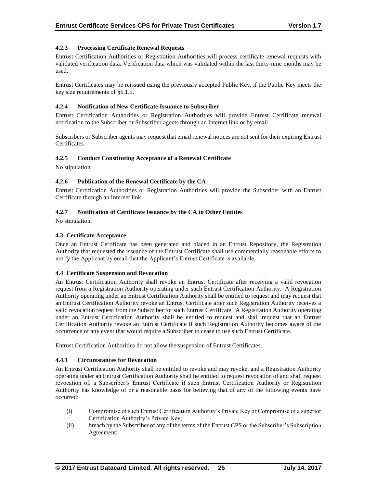## **4.2.3 Processing Certificate Renewal Requests**

Entrust Certification Authorities or Registration Authorities will process certificate renewal requests with validated verification data. Verification data which was validated within the last thirty-nine months may be used.

Entrust Certificates may be reissued using the previously accepted Public Key, if the Public Key meets the key size requirements of §6.1.5.

## **4.2.4 Notification of New Certificate Issuance to Subscriber**

Entrust Certification Authorities or Registration Authorities will provide Entrust Certificate renewal notification to the Subscriber or Subscriber agents through an Internet link or by email.

Subscribers or Subscriber agents may request that email renewal notices are not sent for their expiring Entrust Certificates.

#### **4.2.5 Conduct Constituting Acceptance of a Renewal Certificate**

No stipulation.

#### **4.2.6 Publication of the Renewal Certificate by the CA**

Entrust Certification Authorities or Registration Authorities will provide the Subscriber with an Entrust Certificate through an Internet link.

#### **4.2.7 Notification of Certificate Issuance by the CA to Other Entities**

No stipulation.

#### **4.3 Certificate Acceptance**

Once an Entrust Certificate has been generated and placed in an Entrust Repository, the Registration Authority that requested the issuance of the Entrust Certificate shall use commercially reasonable efforts to notify the Applicant by email that the Applicant's Entrust Certificate is available.

#### **4.4 Certificate Suspension and Revocation**

An Entrust Certification Authority shall revoke an Entrust Certificate after receiving a valid revocation request from a Registration Authority operating under such Entrust Certification Authority. A Registration Authority operating under an Entrust Certification Authority shall be entitled to request and may request that an Entrust Certification Authority revoke an Entrust Certificate after such Registration Authority receives a valid revocation request from the Subscriber for such Entrust Certificate. A Registration Authority operating under an Entrust Certification Authority shall be entitled to request and shall request that an Entrust Certification Authority revoke an Entrust Certificate if such Registration Authority becomes aware of the occurrence of any event that would require a Subscriber to cease to use such Entrust Certificate.

Entrust Certification Authorities do not allow the suspension of Entrust Certificates.

#### **4.4.1 Circumstances for Revocation**

An Entrust Certification Authority shall be entitled to revoke and may revoke, and a Registration Authority operating under an Entrust Certification Authority shall be entitled to request revocation of and shall request revocation of, a Subscriber's Entrust Certificate if such Entrust Certification Authority or Registration Authority has knowledge of or a reasonable basis for believing that of any of the following events have occurred:

- (i) Compromise of such Entrust Certification Authority's Private Key or Compromise of a superior Certification Authority's Private Key;
- (ii) breach by the Subscriber of any of the terms of the Entrust CPS or the Subscriber's Subscription Agreement;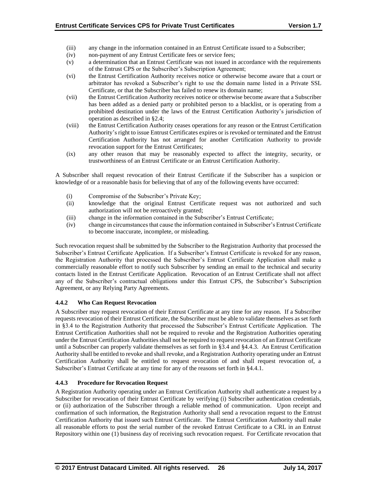- (iii) any change in the information contained in an Entrust Certificate issued to a Subscriber;
- (iv) non-payment of any Entrust Certificate fees or service fees;
- (v) a determination that an Entrust Certificate was not issued in accordance with the requirements of the Entrust CPS or the Subscriber's Subscription Agreement;
- (vi) the Entrust Certification Authority receives notice or otherwise become aware that a court or arbitrator has revoked a Subscriber's right to use the domain name listed in a Private SSL Certificate, or that the Subscriber has failed to renew its domain name;
- (vii) the Entrust Certification Authority receives notice or otherwise become aware that a Subscriber has been added as a denied party or prohibited person to a blacklist, or is operating from a prohibited destination under the laws of the Entrust Certification Authority's jurisdiction of operation as described in §2.4;
- (viii) the Entrust Certification Authority ceases operations for any reason or the Entrust Certification Authority's right to issue Entrust Certificates expires or is revoked or terminated and the Entrust Certification Authority has not arranged for another Certification Authority to provide revocation support for the Entrust Certificates;
- (ix) any other reason that may be reasonably expected to affect the integrity, security, or trustworthiness of an Entrust Certificate or an Entrust Certification Authority.

A Subscriber shall request revocation of their Entrust Certificate if the Subscriber has a suspicion or knowledge of or a reasonable basis for believing that of any of the following events have occurred:

- (i) Compromise of the Subscriber's Private Key;
- (ii) knowledge that the original Entrust Certificate request was not authorized and such authorization will not be retroactively granted;
- (iii) change in the information contained in the Subscriber's Entrust Certificate;
- (iv) change in circumstances that cause the information contained in Subscriber's Entrust Certificate to become inaccurate, incomplete, or misleading.

Such revocation request shall be submitted by the Subscriber to the Registration Authority that processed the Subscriber's Entrust Certificate Application. If a Subscriber's Entrust Certificate is revoked for any reason, the Registration Authority that processed the Subscriber's Entrust Certificate Application shall make a commercially reasonable effort to notify such Subscriber by sending an email to the technical and security contacts listed in the Entrust Certificate Application. Revocation of an Entrust Certificate shall not affect any of the Subscriber's contractual obligations under this Entrust CPS, the Subscriber's Subscription Agreement, or any Relying Party Agreements.

## **4.4.2 Who Can Request Revocation**

A Subscriber may request revocation of their Entrust Certificate at any time for any reason. If a Subscriber requests revocation of their Entrust Certificate, the Subscriber must be able to validate themselves as set forth in §3.4 to the Registration Authority that processed the Subscriber's Entrust Certificate Application. The Entrust Certification Authorities shall not be required to revoke and the Registration Authorities operating under the Entrust Certification Authorities shall not be required to request revocation of an Entrust Certificate until a Subscriber can properly validate themselves as set forth in §3.4 and §4.4.3. An Entrust Certification Authority shall be entitled to revoke and shall revoke, and a Registration Authority operating under an Entrust Certification Authority shall be entitled to request revocation of and shall request revocation of, a Subscriber's Entrust Certificate at any time for any of the reasons set forth in §4.4.1.

## **4.4.3 Procedure for Revocation Request**

A Registration Authority operating under an Entrust Certification Authority shall authenticate a request by a Subscriber for revocation of their Entrust Certificate by verifying (i) Subscriber authentication credentials, or (ii) authorization of the Subscriber through a reliable method of communication. Upon receipt and confirmation of such information, the Registration Authority shall send a revocation request to the Entrust Certification Authority that issued such Entrust Certificate. The Entrust Certification Authority shall make all reasonable efforts to post the serial number of the revoked Entrust Certificate to a CRL in an Entrust Repository within one (1) business day of receiving such revocation request. For Certificate revocation that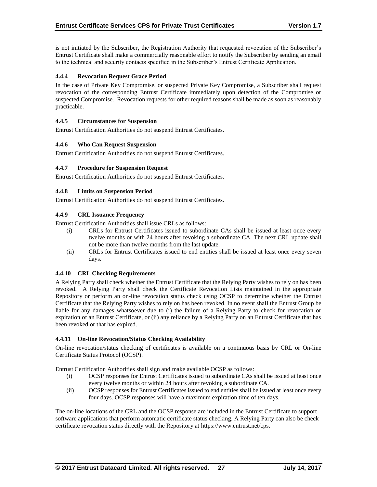is not initiated by the Subscriber, the Registration Authority that requested revocation of the Subscriber's Entrust Certificate shall make a commercially reasonable effort to notify the Subscriber by sending an email to the technical and security contacts specified in the Subscriber's Entrust Certificate Application.

## **4.4.4 Revocation Request Grace Period**

In the case of Private Key Compromise, or suspected Private Key Compromise, a Subscriber shall request revocation of the corresponding Entrust Certificate immediately upon detection of the Compromise or suspected Compromise. Revocation requests for other required reasons shall be made as soon as reasonably practicable.

## **4.4.5 Circumstances for Suspension**

Entrust Certification Authorities do not suspend Entrust Certificates.

## **4.4.6 Who Can Request Suspension**

Entrust Certification Authorities do not suspend Entrust Certificates.

## **4.4.7 Procedure for Suspension Request**

Entrust Certification Authorities do not suspend Entrust Certificates.

## **4.4.8 Limits on Suspension Period**

Entrust Certification Authorities do not suspend Entrust Certificates.

## **4.4.9 CRL Issuance Frequency**

Entrust Certification Authorities shall issue CRLs as follows:

- (i) CRLs for Entrust Certificates issued to subordinate CAs shall be issued at least once every twelve months or with 24 hours after revoking a subordinate CA. The next CRL update shall not be more than twelve months from the last update.
- (ii) CRLs for Entrust Certificates issued to end entities shall be issued at least once every seven days.

#### **4.4.10 CRL Checking Requirements**

A Relying Party shall check whether the Entrust Certificate that the Relying Party wishes to rely on has been revoked. A Relying Party shall check the Certificate Revocation Lists maintained in the appropriate Repository or perform an on-line revocation status check using OCSP to determine whether the Entrust Certificate that the Relying Party wishes to rely on has been revoked. In no event shall the Entrust Group be liable for any damages whatsoever due to (i) the failure of a Relying Party to check for revocation or expiration of an Entrust Certificate, or (ii) any reliance by a Relying Party on an Entrust Certificate that has been revoked or that has expired.

#### **4.4.11 On-line Revocation/Status Checking Availability**

On-line revocation/status checking of certificates is available on a continuous basis by CRL or On-line Certificate Status Protocol (OCSP).

Entrust Certification Authorities shall sign and make available OCSP as follows:

- (i) OCSP responses for Entrust Certificates issued to subordinate CAs shall be issued at least once every twelve months or within 24 hours after revoking a subordinate CA.
- (ii) OCSP responses for Entrust Certificates issued to end entities shall be issued at least once every four days. OCSP responses will have a maximum expiration time of ten days.

The on-line locations of the CRL and the OCSP response are included in the Entrust Certificate to support software applications that perform automatic certificate status checking. A Relying Party can also be check certificate revocation status directly with the Repository at https://www.entrust.net/cps.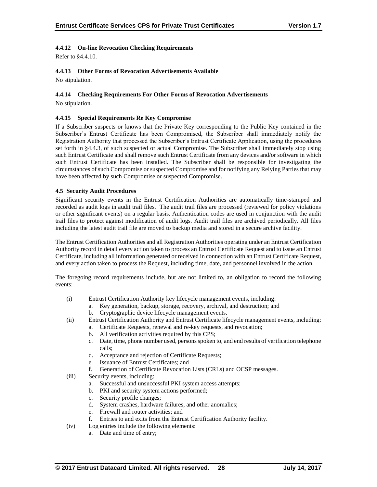## **4.4.12 On-line Revocation Checking Requirements**

Refer to §4.4.10.

## **4.4.13 Other Forms of Revocation Advertisements Available**

No stipulation.

## **4.4.14 Checking Requirements For Other Forms of Revocation Advertisements**

No stipulation.

## **4.4.15 Special Requirements Re Key Compromise**

If a Subscriber suspects or knows that the Private Key corresponding to the Public Key contained in the Subscriber's Entrust Certificate has been Compromised, the Subscriber shall immediately notify the Registration Authority that processed the Subscriber's Entrust Certificate Application, using the procedures set forth in §4.4.3, of such suspected or actual Compromise. The Subscriber shall immediately stop using such Entrust Certificate and shall remove such Entrust Certificate from any devices and/or software in which such Entrust Certificate has been installed. The Subscriber shall be responsible for investigating the circumstances of such Compromise or suspected Compromise and for notifying any Relying Parties that may have been affected by such Compromise or suspected Compromise.

## **4.5 Security Audit Procedures**

Significant security events in the Entrust Certification Authorities are automatically time-stamped and recorded as audit logs in audit trail files. The audit trail files are processed (reviewed for policy violations or other significant events) on a regular basis. Authentication codes are used in conjunction with the audit trail files to protect against modification of audit logs. Audit trail files are archived periodically. All files including the latest audit trail file are moved to backup media and stored in a secure archive facility.

The Entrust Certification Authorities and all Registration Authorities operating under an Entrust Certification Authority record in detail every action taken to process an Entrust Certificate Request and to issue an Entrust Certificate, including all information generated or received in connection with an Entrust Certificate Request, and every action taken to process the Request, including time, date, and personnel involved in the action.

The foregoing record requirements include, but are not limited to, an obligation to record the following events:

- (i) Entrust Certification Authority key lifecycle management events, including:
	- a. Key generation, backup, storage, recovery, archival, and destruction; and
	- b. Cryptographic device lifecycle management events.
- (ii) Entrust Certification Authority and Entrust Certificate lifecycle management events, including:
	- a. Certificate Requests, renewal and re-key requests, and revocation;
	- b. All verification activities required by this CPS;
	- c. Date, time, phone number used, persons spoken to, and end results of verification telephone calls;
	- d. Acceptance and rejection of Certificate Requests;
	- e. Issuance of Entrust Certificates; and
	- f. Generation of Certificate Revocation Lists (CRLs) and OCSP messages.
- (iii) Security events, including:
	- a. Successful and unsuccessful PKI system access attempts;
	- b. PKI and security system actions performed;
	- c. Security profile changes;
	- d. System crashes, hardware failures, and other anomalies;
	- e. Firewall and router activities; and
	- f. Entries to and exits from the Entrust Certification Authority facility.
- (iv) Log entries include the following elements:
	- a. Date and time of entry;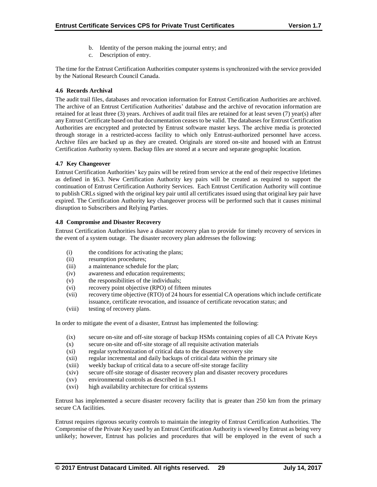- b. Identity of the person making the journal entry; and
- c. Description of entry.

The time for the Entrust Certification Authorities computer systems is synchronized with the service provided by the National Research Council Canada.

#### **4.6 Records Archival**

The audit trail files, databases and revocation information for Entrust Certification Authorities are archived. The archive of an Entrust Certification Authorities' database and the archive of revocation information are retained for at least three (3) years. Archives of audit trail files are retained for at least seven (7) year(s) after any Entrust Certificate based on that documentation ceases to be valid. The databases for Entrust Certification Authorities are encrypted and protected by Entrust software master keys. The archive media is protected through storage in a restricted-access facility to which only Entrust-authorized personnel have access. Archive files are backed up as they are created. Originals are stored on-site and housed with an Entrust Certification Authority system. Backup files are stored at a secure and separate geographic location.

#### **4.7 Key Changeover**

Entrust Certification Authorities' key pairs will be retired from service at the end of their respective lifetimes as defined in §6.3. New Certification Authority key pairs will be created as required to support the continuation of Entrust Certification Authority Services. Each Entrust Certification Authority will continue to publish CRLs signed with the original key pair until all certificates issued using that original key pair have expired. The Certification Authority key changeover process will be performed such that it causes minimal disruption to Subscribers and Relying Parties.

#### **4.8 Compromise and Disaster Recovery**

Entrust Certification Authorities have a disaster recovery plan to provide for timely recovery of services in the event of a system outage. The disaster recovery plan addresses the following:

- (i) the conditions for activating the plans;
- (ii) resumption procedures;
- (iii) a maintenance schedule for the plan;
- (iv) awareness and education requirements;
- (v) the responsibilities of the individuals;
- (vi) recovery point objective (RPO) of fifteen minutes
- (vii) recovery time objective (RTO) of 24 hours for essential CA operations which include certificate issuance, certificate revocation, and issuance of certificate revocation status; and
- (viii) testing of recovery plans.

In order to mitigate the event of a disaster, Entrust has implemented the following:

- (ix) secure on-site and off-site storage of backup HSMs containing copies of all CA Private Keys
- (x) secure on-site and off-site storage of all requisite activation materials
- (xi) regular synchronization of critical data to the disaster recovery site
- (xii) regular incremental and daily backups of critical data within the primary site
- (xiii) weekly backup of critical data to a secure off-site storage facility
- (xiv) secure off-site storage of disaster recovery plan and disaster recovery procedures
- (xv) environmental controls as described in §5.1
- (xvi) high availability architecture for critical systems

Entrust has implemented a secure disaster recovery facility that is greater than 250 km from the primary secure CA facilities.

Entrust requires rigorous security controls to maintain the integrity of Entrust Certification Authorities. The Compromise of the Private Key used by an Entrust Certification Authority is viewed by Entrust as being very unlikely; however, Entrust has policies and procedures that will be employed in the event of such a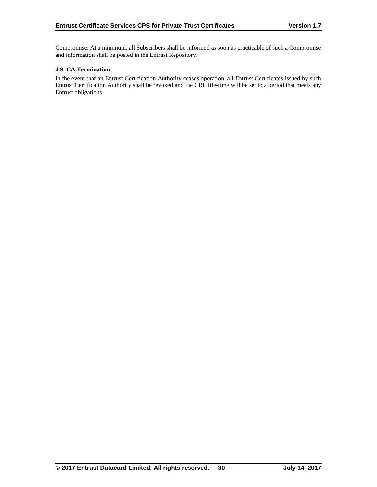Compromise. At a minimum, all Subscribers shall be informed as soon as practicable of such a Compromise and information shall be posted in the Entrust Repository.

### **4.9 CA Termination**

In the event that an Entrust Certification Authority ceases operation, all Entrust Certificates issued by such Entrust Certification Authority shall be revoked and the CRL life-time will be set to a period that meets any Entrust obligations.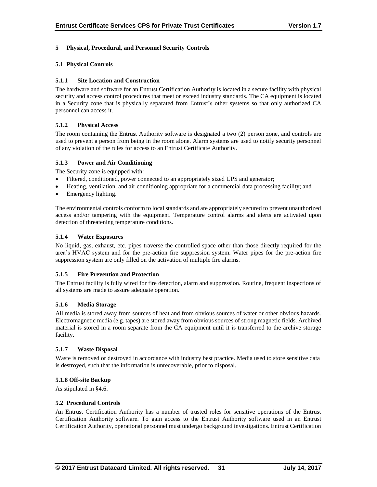## **5 Physical, Procedural, and Personnel Security Controls**

## **5.1 Physical Controls**

## **5.1.1 Site Location and Construction**

The hardware and software for an Entrust Certification Authority is located in a secure facility with physical security and access control procedures that meet or exceed industry standards. The CA equipment is located in a Security zone that is physically separated from Entrust's other systems so that only authorized CA personnel can access it.

## **5.1.2 Physical Access**

The room containing the Entrust Authority software is designated a two (2) person zone, and controls are used to prevent a person from being in the room alone. Alarm systems are used to notify security personnel of any violation of the rules for access to an Entrust Certificate Authority.

## **5.1.3 Power and Air Conditioning**

The Security zone is equipped with:

- Filtered, conditioned, power connected to an appropriately sized UPS and generator;
- Heating, ventilation, and air conditioning appropriate for a commercial data processing facility; and
- Emergency lighting.

The environmental controls conform to local standards and are appropriately secured to prevent unauthorized access and/or tampering with the equipment. Temperature control alarms and alerts are activated upon detection of threatening temperature conditions.

## **5.1.4 Water Exposures**

No liquid, gas, exhaust, etc. pipes traverse the controlled space other than those directly required for the area's HVAC system and for the pre-action fire suppression system. Water pipes for the pre-action fire suppression system are only filled on the activation of multiple fire alarms.

#### **5.1.5 Fire Prevention and Protection**

The Entrust facility is fully wired for fire detection, alarm and suppression. Routine, frequent inspections of all systems are made to assure adequate operation.

#### **5.1.6 Media Storage**

All media is stored away from sources of heat and from obvious sources of water or other obvious hazards. Electromagnetic media (e.g. tapes) are stored away from obvious sources of strong magnetic fields. Archived material is stored in a room separate from the CA equipment until it is transferred to the archive storage facility.

#### **5.1.7 Waste Disposal**

Waste is removed or destroyed in accordance with industry best practice. Media used to store sensitive data is destroyed, such that the information is unrecoverable, prior to disposal.

#### **5.1.8 Off-site Backup**

As stipulated in §4.6.

#### **5.2 Procedural Controls**

An Entrust Certification Authority has a number of trusted roles for sensitive operations of the Entrust Certification Authority software. To gain access to the Entrust Authority software used in an Entrust Certification Authority, operational personnel must undergo background investigations. Entrust Certification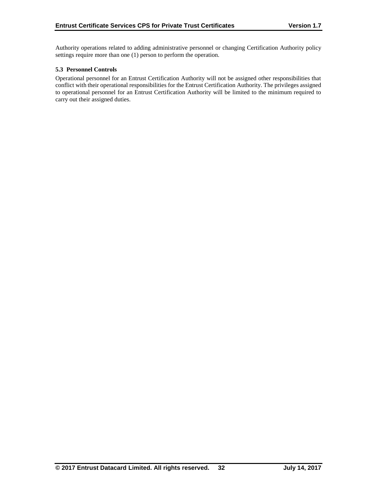Authority operations related to adding administrative personnel or changing Certification Authority policy settings require more than one (1) person to perform the operation.

## **5.3 Personnel Controls**

Operational personnel for an Entrust Certification Authority will not be assigned other responsibilities that conflict with their operational responsibilities for the Entrust Certification Authority. The privileges assigned to operational personnel for an Entrust Certification Authority will be limited to the minimum required to carry out their assigned duties.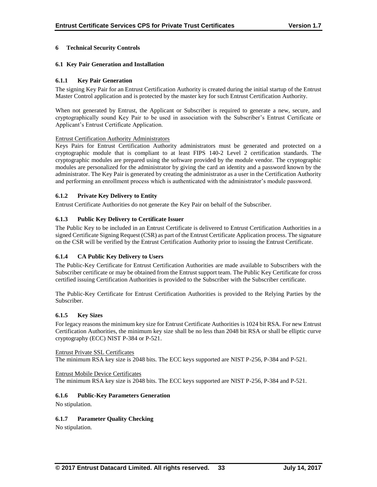## **6 Technical Security Controls**

## **6.1 Key Pair Generation and Installation**

## **6.1.1 Key Pair Generation**

The signing Key Pair for an Entrust Certification Authority is created during the initial startup of the Entrust Master Control application and is protected by the master key for such Entrust Certification Authority.

When not generated by Entrust, the Applicant or Subscriber is required to generate a new, secure, and cryptographically sound Key Pair to be used in association with the Subscriber's Entrust Certificate or Applicant's Entrust Certificate Application.

#### Entrust Certification Authority Administrators

Keys Pairs for Entrust Certification Authority administrators must be generated and protected on a cryptographic module that is compliant to at least FIPS 140-2 Level 2 certification standards. The cryptographic modules are prepared using the software provided by the module vendor. The cryptographic modules are personalized for the administrator by giving the card an identity and a password known by the administrator. The Key Pair is generated by creating the administrator as a user in the Certification Authority and performing an enrollment process which is authenticated with the administrator's module password.

## **6.1.2 Private Key Delivery to Entity**

Entrust Certificate Authorities do not generate the Key Pair on behalf of the Subscriber.

#### **6.1.3 Public Key Delivery to Certificate Issuer**

The Public Key to be included in an Entrust Certificate is delivered to Entrust Certification Authorities in a signed Certificate Signing Request (CSR) as part of the Entrust Certificate Application process. The signature on the CSR will be verified by the Entrust Certification Authority prior to issuing the Entrust Certificate.

#### **6.1.4 CA Public Key Delivery to Users**

The Public-Key Certificate for Entrust Certification Authorities are made available to Subscribers with the Subscriber certificate or may be obtained from the Entrust support team. The Public Key Certificate for cross certified issuing Certification Authorities is provided to the Subscriber with the Subscriber certificate.

The Public-Key Certificate for Entrust Certification Authorities is provided to the Relying Parties by the Subscriber.

#### **6.1.5 Key Sizes**

For legacy reasons the minimum key size for Entrust Certificate Authorities is 1024 bit RSA. For new Entrust Certification Authorities, the minimum key size shall be no less than 2048 bit RSA or shall be elliptic curve cryptography (ECC) NIST P-384 or P-521.

Entrust Private SSL Certificates The minimum RSA key size is 2048 bits. The ECC keys supported are NIST P-256, P-384 and P-521.

Entrust Mobile Device Certificates The minimum RSA key size is 2048 bits. The ECC keys supported are NIST P-256, P-384 and P-521.

#### **6.1.6 Public-Key Parameters Generation**

No stipulation.

#### **6.1.7 Parameter Quality Checking**

No stipulation.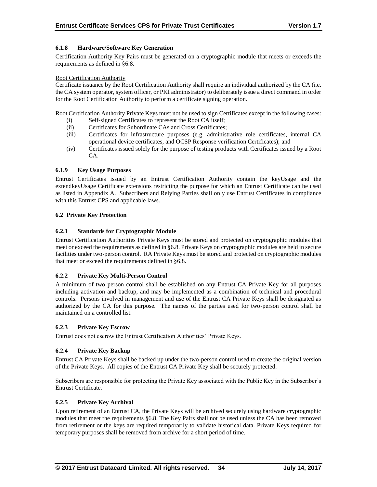## **6.1.8 Hardware/Software Key Generation**

Certification Authority Key Pairs must be generated on a cryptographic module that meets or exceeds the requirements as defined in §6.8.

#### Root Certification Authority

Certificate issuance by the Root Certification Authority shall require an individual authorized by the CA (i.e. the CA system operator, system officer, or PKI administrator) to deliberately issue a direct command in order for the Root Certification Authority to perform a certificate signing operation.

Root Certification Authority Private Keys must not be used to sign Certificates except in the following cases:

- (i) Self-signed Certificates to represent the Root CA itself;
- (ii) Certificates for Subordinate CAs and Cross Certificates;
- (iii) Certificates for infrastructure purposes (e.g. administrative role certificates, internal CA operational device certificates, and OCSP Response verification Certificates); and
- (iv) Certificates issued solely for the purpose of testing products with Certificates issued by a Root CA.

## **6.1.9 Key Usage Purposes**

Entrust Certificates issued by an Entrust Certification Authority contain the keyUsage and the extendkeyUsage Certificate extensions restricting the purpose for which an Entrust Certificate can be used as listed in Appendix A. Subscribers and Relying Parties shall only use Entrust Certificates in compliance with this Entrust CPS and applicable laws.

## **6.2 Private Key Protection**

## **6.2.1 Standards for Cryptographic Module**

Entrust Certification Authorities Private Keys must be stored and protected on cryptographic modules that meet or exceed the requirements as defined in §6.8. Private Keys on cryptographic modules are held in secure facilities under two-person control. RA Private Keys must be stored and protected on cryptographic modules that meet or exceed the requirements defined in §6.8.

#### **6.2.2 Private Key Multi-Person Control**

A minimum of two person control shall be established on any Entrust CA Private Key for all purposes including activation and backup, and may be implemented as a combination of technical and procedural controls. Persons involved in management and use of the Entrust CA Private Keys shall be designated as authorized by the CA for this purpose. The names of the parties used for two-person control shall be maintained on a controlled list.

#### **6.2.3 Private Key Escrow**

Entrust does not escrow the Entrust Certification Authorities' Private Keys.

#### **6.2.4 Private Key Backup**

Entrust CA Private Keys shall be backed up under the two-person control used to create the original version of the Private Keys. All copies of the Entrust CA Private Key shall be securely protected.

Subscribers are responsible for protecting the Private Key associated with the Public Key in the Subscriber's Entrust Certificate.

## **6.2.5 Private Key Archival**

Upon retirement of an Entrust CA, the Private Keys will be archived securely using hardware cryptographic modules that meet the requirements §6.8. The Key Pairs shall not be used unless the CA has been removed from retirement or the keys are required temporarily to validate historical data. Private Keys required for temporary purposes shall be removed from archive for a short period of time.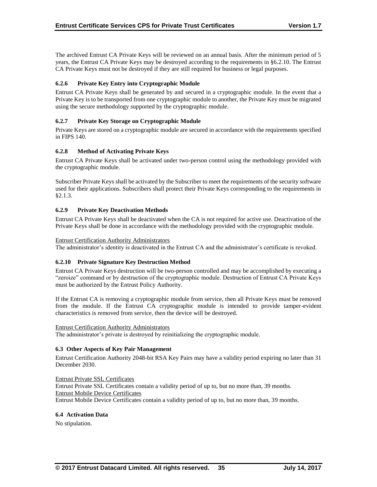The archived Entrust CA Private Keys will be reviewed on an annual basis. After the minimum period of 5 years, the Entrust CA Private Keys may be destroyed according to the requirements in §6.2.10. The Entrust CA Private Keys must not be destroyed if they are still required for business or legal purposes.

## **6.2.6 Private Key Entry into Cryptographic Module**

Entrust CA Private Keys shall be generated by and secured in a cryptographic module. In the event that a Private Key is to be transported from one cryptographic module to another, the Private Key must be migrated using the secure methodology supported by the cryptographic module.

## **6.2.7 Private Key Storage on Cryptographic Module**

Private Keys are stored on a cryptographic module are secured in accordance with the requirements specified in FIPS 140.

## **6.2.8 Method of Activating Private Keys**

Entrust CA Private Keys shall be activated under two-person control using the methodology provided with the cryptographic module.

Subscriber Private Keys shall be activated by the Subscriber to meet the requirements of the security software used for their applications. Subscribers shall protect their Private Keys corresponding to the requirements in §2.1.3.

## **6.2.9 Private Key Deactivation Methods**

Entrust CA Private Keys shall be deactivated when the CA is not required for active use. Deactivation of the Private Keys shall be done in accordance with the methodology provided with the cryptographic module.

#### Entrust Certification Authority Administrators

The administrator's identity is deactivated in the Entrust CA and the administrator's certificate is revoked.

#### **6.2.10 Private Signature Key Destruction Method**

Entrust CA Private Keys destruction will be two-person controlled and may be accomplished by executing a "zeroize" command or by destruction of the cryptographic module. Destruction of Entrust CA Private Keys must be authorized by the Entrust Policy Authority.

If the Entrust CA is removing a cryptographic module from service, then all Private Keys must be removed from the module. If the Entrust CA cryptographic module is intended to provide tamper-evident characteristics is removed from service, then the device will be destroyed.

#### Entrust Certification Authority Administrators

The administrator's private is destroyed by reinitializing the cryptographic module.

#### **6.3 Other Aspects of Key Pair Management**

Entrust Certification Authority 2048-bit RSA Key Pairs may have a validity period expiring no later than 31 December 2030.

Entrust Private SSL Certificates Entrust Private SSL Certificates contain a validity period of up to, but no more than, 39 months. Entrust Mobile Device Certificates Entrust Mobile Device Certificates contain a validity period of up to, but no more than, 39 months.

#### **6.4 Activation Data**

No stipulation.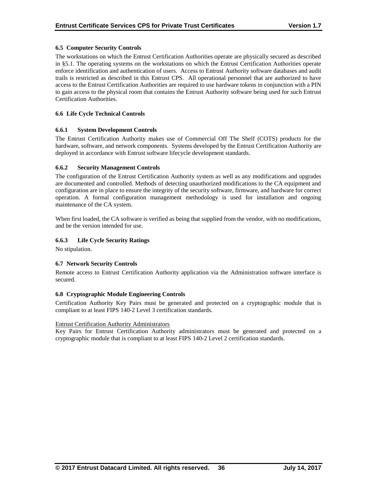## **6.5 Computer Security Controls**

The workstations on which the Entrust Certification Authorities operate are physically secured as described in §5.1. The operating systems on the workstations on which the Entrust Certification Authorities operate enforce identification and authentication of users. Access to Entrust Authority software databases and audit trails is restricted as described in this Entrust CPS. All operational personnel that are authorized to have access to the Entrust Certification Authorities are required to use hardware tokens in conjunction with a PIN to gain access to the physical room that contains the Entrust Authority software being used for such Entrust Certification Authorities.

## **6.6 Life Cycle Technical Controls**

## **6.6.1 System Development Controls**

The Entrust Certification Authority makes use of Commercial Off The Shelf (COTS) products for the hardware, software, and network components. Systems developed by the Entrust Certification Authority are deployed in accordance with Entrust software lifecycle development standards.

## **6.6.2 Security Management Controls**

The configuration of the Entrust Certification Authority system as well as any modifications and upgrades are documented and controlled. Methods of detecting unauthorized modifications to the CA equipment and configuration are in place to ensure the integrity of the security software, firmware, and hardware for correct operation. A formal configuration management methodology is used for installation and ongoing maintenance of the CA system.

When first loaded, the CA software is verified as being that supplied from the vendor, with no modifications, and be the version intended for use.

## **6.6.3 Life Cycle Security Ratings**

No stipulation.

#### **6.7 Network Security Controls**

Remote access to Entrust Certification Authority application via the Administration software interface is secured.

#### **6.8 Cryptographic Module Engineering Controls**

Certification Authority Key Pairs must be generated and protected on a cryptographic module that is compliant to at least FIPS 140-2 Level 3 certification standards.

#### Entrust Certification Authority Administrators

Key Pairs for Entrust Certification Authority administrators must be generated and protected on a cryptographic module that is compliant to at least FIPS 140-2 Level 2 certification standards.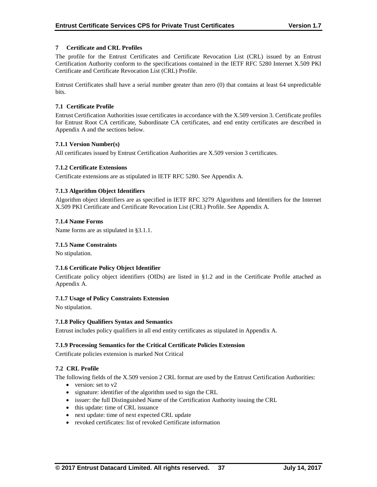## **7 Certificate and CRL Profiles**

The profile for the Entrust Certificates and Certificate Revocation List (CRL) issued by an Entrust Certification Authority conform to the specifications contained in the IETF RFC 5280 Internet X.509 PKI Certificate and Certificate Revocation List (CRL) Profile.

Entrust Certificates shall have a serial number greater than zero (0) that contains at least 64 unpredictable bits.

## **7.1 Certificate Profile**

Entrust Certification Authorities issue certificates in accordance with the X.509 version 3. Certificate profiles for Entrust Root CA certificate, Subordinate CA certificates, and end entity certificates are described in Appendix A and the sections below.

## **7.1.1 Version Number(s)**

All certificates issued by Entrust Certification Authorities are X.509 version 3 certificates.

## **7.1.2 Certificate Extensions**

Certificate extensions are as stipulated in IETF RFC 5280. See Appendix A.

## **7.1.3 Algorithm Object Identifiers**

Algorithm object identifiers are as specified in IETF RFC 3279 Algorithms and Identifiers for the Internet X.509 PKI Certificate and Certificate Revocation List (CRL) Profile. See Appendix A.

#### **7.1.4 Name Forms**

Name forms are as stipulated in §3.1.1.

#### **7.1.5 Name Constraints**

No stipulation.

#### **7.1.6 Certificate Policy Object Identifier**

Certificate policy object identifiers (OIDs) are listed in §1.2 and in the Certificate Profile attached as Appendix A.

#### **7.1.7 Usage of Policy Constraints Extension**

No stipulation.

#### **7.1.8 Policy Qualifiers Syntax and Semantics**

Entrust includes policy qualifiers in all end entity certificates as stipulated in Appendix A.

#### **7.1.9 Processing Semantics for the Critical Certificate Policies Extension**

Certificate policies extension is marked Not Critical

#### **7.2 CRL Profile**

The following fields of the X.509 version 2 CRL format are used by the Entrust Certification Authorities:

- $\bullet$  version: set to v2
- signature: identifier of the algorithm used to sign the CRL
- issuer: the full Distinguished Name of the Certification Authority issuing the CRL
- this update: time of CRL issuance
- next update: time of next expected CRL update
- revoked certificates: list of revoked Certificate information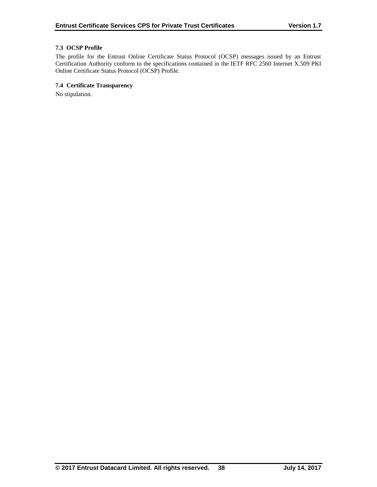## **7.3 OCSP Profile**

The profile for the Entrust Online Certificate Status Protocol (OCSP) messages issued by an Entrust Certification Authority conform to the specifications contained in the IETF RFC 2560 Internet X.509 PKI Online Certificate Status Protocol (OCSP) Profile.

## **7.4 Certificate Transparency**

No stipulation.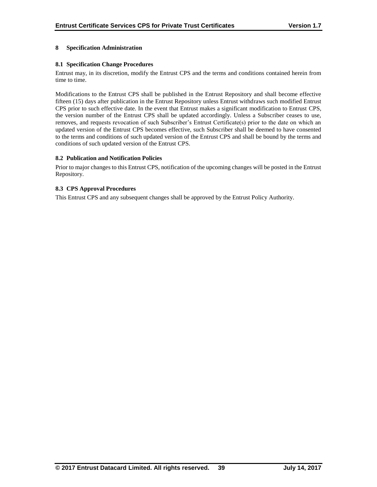## **8 Specification Administration**

## **8.1 Specification Change Procedures**

Entrust may, in its discretion, modify the Entrust CPS and the terms and conditions contained herein from time to time.

Modifications to the Entrust CPS shall be published in the Entrust Repository and shall become effective fifteen (15) days after publication in the Entrust Repository unless Entrust withdraws such modified Entrust CPS prior to such effective date. In the event that Entrust makes a significant modification to Entrust CPS, the version number of the Entrust CPS shall be updated accordingly. Unless a Subscriber ceases to use, removes, and requests revocation of such Subscriber's Entrust Certificate(s) prior to the date on which an updated version of the Entrust CPS becomes effective, such Subscriber shall be deemed to have consented to the terms and conditions of such updated version of the Entrust CPS and shall be bound by the terms and conditions of such updated version of the Entrust CPS.

#### **8.2 Publication and Notification Policies**

Prior to major changes to this Entrust CPS, notification of the upcoming changes will be posted in the Entrust Repository.

## **8.3 CPS Approval Procedures**

This Entrust CPS and any subsequent changes shall be approved by the Entrust Policy Authority.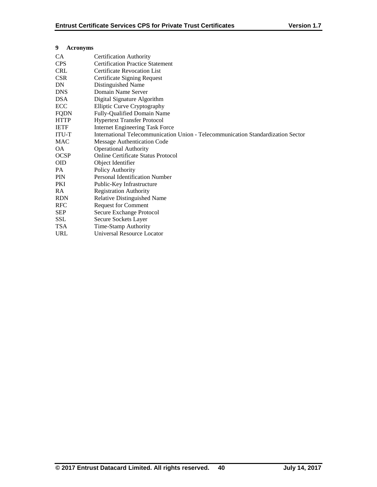| 9<br><b>Acronyms</b>                                  |                                                                                  |  |  |
|-------------------------------------------------------|----------------------------------------------------------------------------------|--|--|
| CA                                                    | <b>Certification Authority</b>                                                   |  |  |
| <b>Certification Practice Statement</b><br><b>CPS</b> |                                                                                  |  |  |
| <b>CRL</b>                                            | <b>Certificate Revocation List</b>                                               |  |  |
| <b>CSR</b>                                            | <b>Certificate Signing Request</b>                                               |  |  |
| DN                                                    | Distinguished Name                                                               |  |  |
| <b>DNS</b>                                            | Domain Name Server                                                               |  |  |
| <b>DSA</b>                                            | Digital Signature Algorithm                                                      |  |  |
| <b>ECC</b>                                            | <b>Elliptic Curve Cryptography</b>                                               |  |  |
| <b>FQDN</b>                                           | Fully-Qualified Domain Name                                                      |  |  |
| <b>HTTP</b>                                           | <b>Hypertext Transfer Protocol</b>                                               |  |  |
| <b>IETF</b>                                           | <b>Internet Engineering Task Force</b>                                           |  |  |
| <b>ITU-T</b>                                          | International Telecommunication Union - Telecommunication Standardization Sector |  |  |
| <b>MAC</b>                                            | Message Authentication Code                                                      |  |  |
| ΟA.                                                   | <b>Operational Authority</b>                                                     |  |  |
| <b>OCSP</b>                                           | Online Certificate Status Protocol                                               |  |  |
| <b>OID</b>                                            | Object Identifier                                                                |  |  |
| PA.                                                   | Policy Authority                                                                 |  |  |
| <b>PIN</b>                                            | Personal Identification Number                                                   |  |  |
| PKI                                                   | Public-Key Infrastructure                                                        |  |  |
| RA.                                                   | <b>Registration Authority</b>                                                    |  |  |
| <b>RDN</b>                                            | <b>Relative Distinguished Name</b>                                               |  |  |
| <b>RFC</b>                                            | <b>Request for Comment</b>                                                       |  |  |
| <b>SEP</b>                                            | Secure Exchange Protocol                                                         |  |  |
| <b>SSL</b>                                            | Secure Sockets Layer                                                             |  |  |
| <b>TSA</b>                                            | Time-Stamp Authority                                                             |  |  |
| URL                                                   | Universal Resource Locator                                                       |  |  |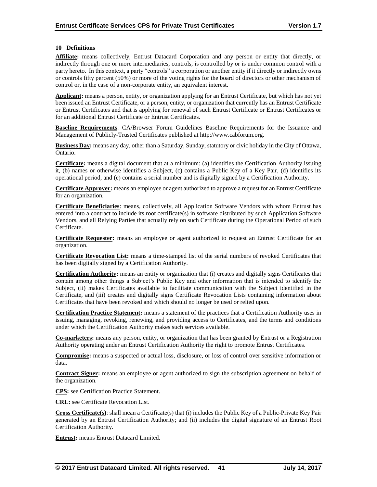## **10 Definitions**

**Affiliate:** means collectively, Entrust Datacard Corporation and any person or entity that directly, or indirectly through one or more intermediaries, controls, is controlled by or is under common control with a party hereto. In this context, a party "controls" a corporation or another entity if it directly or indirectly owns or controls fifty percent (50%) or more of the voting rights for the board of directors or other mechanism of control or, in the case of a non-corporate entity, an equivalent interest.

**Applicant:** means a person, entity, or organization applying for an Entrust Certificate, but which has not yet been issued an Entrust Certificate, or a person, entity, or organization that currently has an Entrust Certificate or Entrust Certificates and that is applying for renewal of such Entrust Certificate or Entrust Certificates or for an additional Entrust Certificate or Entrust Certificates.

**Baseline Requirements**: CA/Browser Forum Guidelines Baseline Requirements for the Issuance and Management of Publicly-Trusted Certificates published at http://www.cabforum.org.

**Business Day:** means any day, other than a Saturday, Sunday, statutory or civic holiday in the City of Ottawa, Ontario.

**Certificate:** means a digital document that at a minimum: (a) identifies the Certification Authority issuing it, (b) names or otherwise identifies a Subject, (c) contains a Public Key of a Key Pair, (d) identifies its operational period, and (e) contains a serial number and is digitally signed by a Certification Authority.

**Certificate Approver:** means an employee or agent authorized to approve a request for an Entrust Certificate for an organization.

**Certificate Beneficiaries**: means, collectively, all Application Software Vendors with whom Entrust has entered into a contract to include its root certificate(s) in software distributed by such Application Software Vendors, and all Relying Parties that actually rely on such Certificate during the Operational Period of such Certificate.

**Certificate Requester:** means an employee or agent authorized to request an Entrust Certificate for an organization.

**Certificate Revocation List:** means a time-stamped list of the serial numbers of revoked Certificates that has been digitally signed by a Certification Authority.

**Certification Authority:** means an entity or organization that (i) creates and digitally signs Certificates that contain among other things a Subject's Public Key and other information that is intended to identify the Subject, (ii) makes Certificates available to facilitate communication with the Subject identified in the Certificate, and (iii) creates and digitally signs Certificate Revocation Lists containing information about Certificates that have been revoked and which should no longer be used or relied upon.

**Certification Practice Statement:** means a statement of the practices that a Certification Authority uses in issuing, managing, revoking, renewing, and providing access to Certificates, and the terms and conditions under which the Certification Authority makes such services available.

**Co-marketers:** means any person, entity, or organization that has been granted by Entrust or a Registration Authority operating under an Entrust Certification Authority the right to promote Entrust Certificates.

**Compromise:** means a suspected or actual loss, disclosure, or loss of control over sensitive information or data.

**Contract Signer:** means an employee or agent authorized to sign the subscription agreement on behalf of the organization.

**CPS:** see Certification Practice Statement.

**CRL:** see Certificate Revocation List.

**Cross Certificate(s)**: shall mean a Certificate(s) that (i) includes the Public Key of a Public-Private Key Pair generated by an Entrust Certification Authority; and (ii) includes the digital signature of an Entrust Root Certification Authority.

**Entrust:** means Entrust Datacard Limited.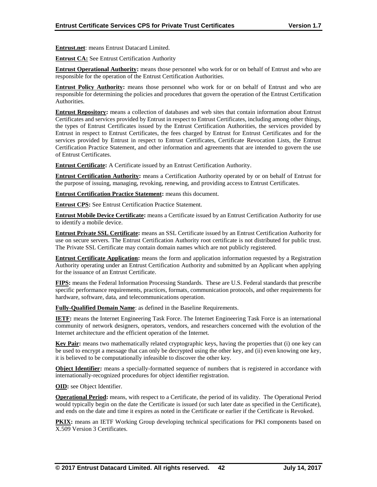**Entrust.net**: means Entrust Datacard Limited.

**Entrust CA:** See Entrust Certification Authority

**Entrust Operational Authority:** means those personnel who work for or on behalf of Entrust and who are responsible for the operation of the Entrust Certification Authorities.

**Entrust Policy Authority:** means those personnel who work for or on behalf of Entrust and who are responsible for determining the policies and procedures that govern the operation of the Entrust Certification Authorities.

**Entrust Repository:** means a collection of databases and web sites that contain information about Entrust Certificates and services provided by Entrust in respect to Entrust Certificates, including among other things, the types of Entrust Certificates issued by the Entrust Certification Authorities, the services provided by Entrust in respect to Entrust Certificates, the fees charged by Entrust for Entrust Certificates and for the services provided by Entrust in respect to Entrust Certificates, Certificate Revocation Lists, the Entrust Certification Practice Statement, and other information and agreements that are intended to govern the use of Entrust Certificates.

**Entrust Certificate:** A Certificate issued by an Entrust Certification Authority.

**Entrust Certification Authority:** means a Certification Authority operated by or on behalf of Entrust for the purpose of issuing, managing, revoking, renewing, and providing access to Entrust Certificates.

**Entrust Certification Practice Statement:** means this document.

**Entrust CPS:** See Entrust Certification Practice Statement.

**Entrust Mobile Device Certificate:** means a Certificate issued by an Entrust Certification Authority for use to identify a mobile device.

**Entrust Private SSL Certificate:** means an SSL Certificate issued by an Entrust Certification Authority for use on secure servers. The Entrust Certification Authority root certificate is not distributed for public trust. The Private SSL Certificate may contain domain names which are not publicly registered.

**Entrust Certificate Application:** means the form and application information requested by a Registration Authority operating under an Entrust Certification Authority and submitted by an Applicant when applying for the issuance of an Entrust Certificate.

**FIPS:** means the Federal Information Processing Standards. These are U.S. Federal standards that prescribe specific performance requirements, practices, formats, communication protocols, and other requirements for hardware, software, data, and telecommunications operation.

**Fully-Qualified Domain Name**: as defined in the Baseline Requirements.

**IETF:** means the Internet Engineering Task Force. The Internet Engineering Task Force is an international community of network designers, operators, vendors, and researchers concerned with the evolution of the Internet architecture and the efficient operation of the Internet.

**Key Pair:** means two mathematically related cryptographic keys, having the properties that (i) one key can be used to encrypt a message that can only be decrypted using the other key, and (ii) even knowing one key, it is believed to be computationally infeasible to discover the other key.

**Object Identifier:** means a specially-formatted sequence of numbers that is registered in accordance with internationally-recognized procedures for object identifier registration.

**OID:** see Object Identifier.

**Operational Period:** means, with respect to a Certificate, the period of its validity. The Operational Period would typically begin on the date the Certificate is issued (or such later date as specified in the Certificate), and ends on the date and time it expires as noted in the Certificate or earlier if the Certificate is Revoked.

**PKIX:** means an IETF Working Group developing technical specifications for PKI components based on X.509 Version 3 Certificates.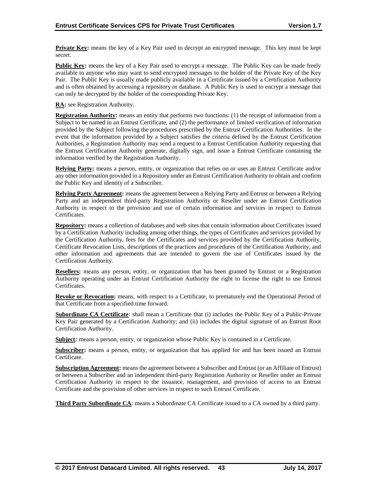**Private Key:** means the key of a Key Pair used to decrypt an encrypted message. This key must be kept secret.

**Public Key:** means the key of a Key Pair used to encrypt a message. The Public Key can be made freely available to anyone who may want to send encrypted messages to the holder of the Private Key of the Key Pair. The Public Key is usually made publicly available in a Certificate issued by a Certification Authority and is often obtained by accessing a repository or database. A Public Key is used to encrypt a message that can only be decrypted by the holder of the corresponding Private Key.

**RA:** see Registration Authority.

**Registration Authority:** means an entity that performs two functions: (1) the receipt of information from a Subject to be named in an Entrust Certificate, and (2) the performance of limited verification of information provided by the Subject following the procedures prescribed by the Entrust Certification Authorities. In the event that the information provided by a Subject satisfies the criteria defined by the Entrust Certification Authorities, a Registration Authority may send a request to a Entrust Certification Authority requesting that the Entrust Certification Authority generate, digitally sign, and issue a Entrust Certificate containing the information verified by the Registration Authority.

**Relying Party:** means a person, entity, or organization that relies on or uses an Entrust Certificate and/or any other information provided in a Repository under an Entrust Certification Authority to obtain and confirm the Public Key and identity of a Subscriber.

**Relying Party Agreement:** means the agreement between a Relying Party and Entrust or between a Relying Party and an independent third-party Registration Authority or Reseller under an Entrust Certification Authority in respect to the provision and use of certain information and services in respect to Entrust Certificates.

**Repository:** means a collection of databases and web sites that contain information about Certificates issued by a Certification Authority including among other things, the types of Certificates and services provided by the Certification Authority, fees for the Certificates and services provided by the Certification Authority, Certificate Revocation Lists, descriptions of the practices and procedures of the Certification Authority, and other information and agreements that are intended to govern the use of Certificates issued by the Certification Authority.

**Resellers:** means any person, entity, or organization that has been granted by Entrust or a Registration Authority operating under an Entrust Certification Authority the right to license the right to use Entrust Certificates.

**Revoke or Revocation:** means, with respect to a Certificate, to prematurely end the Operational Period of that Certificate from a specified time forward.

**Subordinate CA Certificate**: shall mean a Certificate that (i) includes the Public Key of a Public-Private Key Pair generated by a Certification Authority; and (ii) includes the digital signature of an Entrust Root Certification Authority.

**Subject:** means a person, entity, or organization whose Public Key is contained in a Certificate.

**Subscriber:** means a person, entity, or organization that has applied for and has been issued an Entrust Certificate.

**Subscription Agreement:** means the agreement between a Subscriber and Entrust (or an Affiliate of Entrust) or between a Subscriber and an independent third-party Registration Authority or Reseller under an Entrust Certification Authority in respect to the issuance, management, and provision of access to an Entrust Certificate and the provision of other services in respect to such Entrust Certificate.

**Third Party Subordinate CA**: means a Subordinate CA Certificate issued to a CA owned by a third party.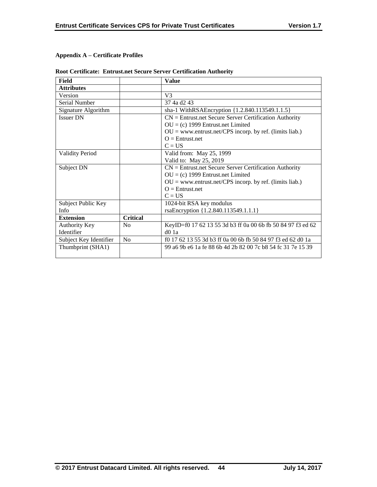# **Appendix A – Certificate Profiles**

| Field                  |                 | <b>Value</b>                                                     |
|------------------------|-----------------|------------------------------------------------------------------|
| <b>Attributes</b>      |                 |                                                                  |
| Version                |                 | V <sub>3</sub>                                                   |
| Serial Number          |                 | 37 4a d <sub>2</sub> 43                                          |
| Signature Algorithm    |                 | sha-1 WithRSAEncryption {1.2.840.113549.1.1.5}                   |
| <b>Issuer DN</b>       |                 | $CN =$ Entrust.net Secure Server Certification Authority         |
|                        |                 | $OU = (c)$ 1999 Entrust.net Limited                              |
|                        |                 | $OU = www.entrust.net/CPS incorp. by ref. (limits liab.)$        |
|                        |                 | $O =$ Entrust net                                                |
|                        |                 | $C = US$                                                         |
| <b>Validity Period</b> |                 | Valid from: May 25, 1999                                         |
|                        |                 | Valid to: May 25, 2019                                           |
| Subject DN             |                 | $CN =$ Entrust.net Secure Server Certification Authority         |
|                        |                 | $OU = (c)$ 1999 Entrust.net Limited                              |
|                        |                 | $OU = www.entrust.net/CPS incorp. by ref. (limits liab.)$        |
|                        |                 | $Q =$ Entrust.net                                                |
|                        |                 | $C = US$                                                         |
| Subject Public Key     |                 | 1024-bit RSA key modulus                                         |
| Info                   |                 | rsaEncryption {1.2.840.113549.1.1.1}                             |
| <b>Extension</b>       | <b>Critical</b> |                                                                  |
| Authority Key          | No              | KeyID=f0 17 62 13 55 3d b3 ff 0a 00 6b fb 50 84 97 f3 ed 62      |
| Identifier             |                 | d01a                                                             |
| Subject Key Identifier | No              | f0 17 62 13 55 3d b3 ff 0a 00 6b fb 50 84 97 f3 ed 62 d0 1a      |
| Thumbprint (SHA1)      |                 | 99 a 69 b e 61 a fe 88 6 b 4d 2b 82 00 7 c b 854 fc 31 7 e 153 9 |
|                        |                 |                                                                  |

# **Root Certificate: Entrust.net Secure Server Certification Authority**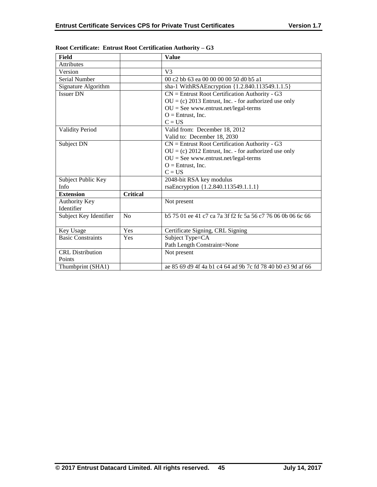| Field                    |                 | <b>Value</b>                                                     |
|--------------------------|-----------------|------------------------------------------------------------------|
| <b>Attributes</b>        |                 |                                                                  |
| Version                  |                 | V <sub>3</sub>                                                   |
| Serial Number            |                 | 00 c2 bb 63 ea 00 00 00 00 50 d0 b5 a1                           |
| Signature Algorithm      |                 | sha-1 WithRSAEncryption {1.2.840.113549.1.1.5}                   |
| <b>Issuer DN</b>         |                 | $CN =$ Entrust Root Certification Authority - G3                 |
|                          |                 | $OU = (c) 2013$ Entrust, Inc. - for authorized use only          |
|                          |                 | $OU = See$ www.entrust.net/legal-terms                           |
|                          |                 | $O =$ Entrust, Inc.                                              |
|                          |                 | $C = US$                                                         |
| <b>Validity Period</b>   |                 | Valid from: December 18, 2012                                    |
|                          |                 | Valid to: December 18, 2030                                      |
| Subject DN               |                 | $CN =$ Entrust Root Certification Authority - G3                 |
|                          |                 | $OU = (c) 2012$ Entrust, Inc. - for authorized use only          |
|                          |                 | $OU = See$ www.entrust.net/legal-terms                           |
|                          |                 | $O =$ Entrust, Inc.                                              |
|                          |                 | $C = US$                                                         |
| Subject Public Key       |                 | 2048-bit RSA key modulus                                         |
| Info                     |                 | rsaEncryption {1.2.840.113549.1.1.1}                             |
| <b>Extension</b>         | <b>Critical</b> |                                                                  |
| <b>Authority Key</b>     |                 | Not present                                                      |
| Identifier               |                 |                                                                  |
| Subject Key Identifier   | No              | b 575 01 ee 41 c 7 ca 7a 3f f 2 f c 5a 56 c 776 06 0 b 06 6 c 66 |
|                          |                 |                                                                  |
| Key Usage                | Yes             | Certificate Signing, CRL Signing                                 |
| <b>Basic Constraints</b> | Yes             | Subject Type=CA                                                  |
|                          |                 | Path Length Constraint=None                                      |
| <b>CRL</b> Distribution  |                 | Not present                                                      |
| Points                   |                 |                                                                  |
| Thumbprint (SHA1)        |                 | ae 85 69 d9 4f 4a b1 c4 64 ad 9b 7c fd 78 40 b0 e3 9d af 66      |

**Root Certificate: Entrust Root Certification Authority – G3**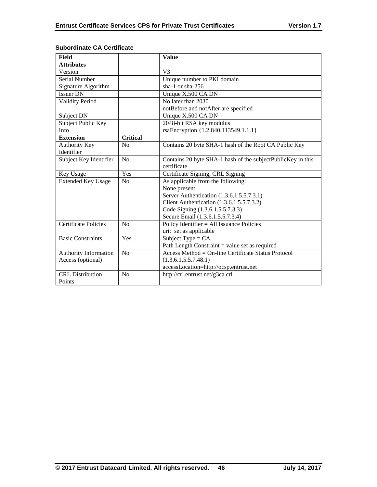| <b>Field</b>                |                 | <b>Value</b>                                                |
|-----------------------------|-----------------|-------------------------------------------------------------|
| <b>Attributes</b>           |                 |                                                             |
| Version                     |                 | V <sub>3</sub>                                              |
| Serial Number               |                 | Unique number to PKI domain                                 |
| Signature Algorithm         |                 | sha-1 or sha-256                                            |
| <b>Issuer DN</b>            |                 | Unique X.500 CA DN                                          |
| <b>Validity Period</b>      |                 | No later than 2030                                          |
|                             |                 | notBefore and notAfter are specified                        |
| Subject DN                  |                 | Unique X.500 CA DN                                          |
| Subject Public Key          |                 | 2048-bit RSA key modulus                                    |
| Info                        |                 | rsaEncryption {1.2.840.113549.1.1.1}                        |
| <b>Extension</b>            | <b>Critical</b> |                                                             |
| Authority Key               | No              | Contains 20 byte SHA-1 hash of the Root CA Public Key       |
| Identifier                  |                 |                                                             |
| Subject Key Identifier      | No              | Contains 20 byte SHA-1 hash of the subjectPublicKey in this |
|                             |                 | certificate                                                 |
| Key Usage                   | Yes             | Certificate Signing, CRL Signing                            |
| <b>Extended Key Usage</b>   | N <sub>o</sub>  | As applicable from the following:                           |
|                             |                 | None present                                                |
|                             |                 | Server Authentication (1.3.6.1.5.5.7.3.1)                   |
|                             |                 | Client Authentication (1.3.6.1.5.5.7.3.2)                   |
|                             |                 | Code Signing (1.3.6.1.5.5.7.3.3)                            |
|                             |                 | Secure Email (1.3.6.1.5.5.7.3.4)                            |
| <b>Certificate Policies</b> | No              | Policy Identifier $=$ All Issuance Policies                 |
|                             |                 | uri: set as applicable                                      |
| <b>Basic Constraints</b>    | Yes             | Subject Type = $CA$                                         |
|                             |                 | Path Length Constraint = value set as required              |
| Authority Information       | N <sub>o</sub>  | $Access Method = On-line Centlicate Status Protocol$        |
| Access (optional)           |                 | (1.3.6.1.5.5.7.48.1)                                        |
|                             |                 | accessLocation=http://ocsp.entrust.net                      |
| <b>CRL</b> Distribution     | No              | http://crl.entrust.net/g3ca.crl                             |
| Points                      |                 |                                                             |

## **Subordinate CA Certificate**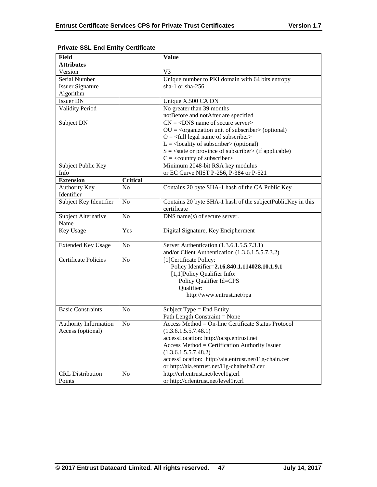| <b>Value</b>                                                           |
|------------------------------------------------------------------------|
|                                                                        |
| V <sub>3</sub>                                                         |
| Unique number to PKI domain with 64 bits entropy                       |
| sha-1 or sha-256                                                       |
|                                                                        |
| Unique X.500 CA DN                                                     |
| No greater than 39 months                                              |
| notBefore and notAfter are specified                                   |
| $CN = <$ DNS name of secure server>                                    |
| $OU = corganization unit of subscripter > (optional)$                  |
| $O = \left\langle \text{full legal name of subscripter} \right\rangle$ |
| $L =$ <locality of="" subscriber=""> (optional)</locality>             |
| $S = \text{state or province of subscriber} > \text{(if applicable)}$  |
| $C = \langle$ country of subscriber>                                   |
| Minimum 2048-bit RSA key modulus                                       |
| or EC Curve NIST P-256, P-384 or P-521                                 |
|                                                                        |
| Contains 20 byte SHA-1 hash of the CA Public Key                       |
|                                                                        |
| Contains 20 byte SHA-1 hash of the subjectPublicKey in this            |
| certificate                                                            |
| DNS name(s) of secure server.                                          |
|                                                                        |
| Digital Signature, Key Encipherment                                    |
|                                                                        |
| Server Authentication (1.3.6.1.5.5.7.3.1)                              |
| and/or Client Authentication (1.3.6.1.5.5.7.3.2)                       |
| [1]Certificate Policy:                                                 |
| Policy Identifier=2.16.840.1.114028.10.1.9.1                           |
| [1,1] Policy Qualifier Info:                                           |
| Policy Qualifier Id=CPS<br>Qualifier:                                  |
| http://www.entrust.net/rpa                                             |
|                                                                        |
| Subject Type = End Entity                                              |
| Path Length Constraint = None                                          |
| Access Method = On-line Certificate Status Protocol                    |
| (1.3.6.1.5.5.7.48.1)                                                   |
| accessLocation: http://ocsp.entrust.net                                |
| Access Method = Certification Authority Issuer                         |
| (1.3.6.1.5.5.7.48.2)                                                   |
| accessLocation: http://aia.entrust.net/l1g-chain.cer                   |
| or http://aia.entrust.net/11g-chainsha2.cer                            |
| http://crl.entrust.net/level1g.crl                                     |
| or http://crlentrust.net/level1r.crl                                   |
|                                                                        |

## **Private SSL End Entity Certificate**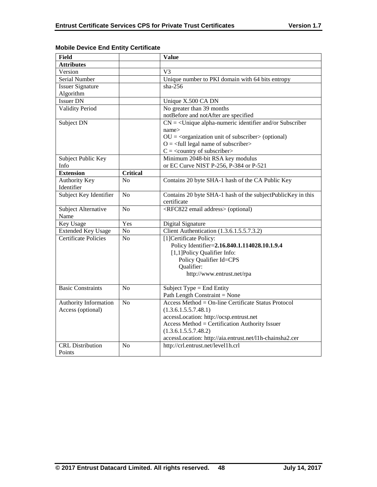| Field                       |                 | <b>Value</b>                                                           |
|-----------------------------|-----------------|------------------------------------------------------------------------|
| <b>Attributes</b>           |                 |                                                                        |
| Version                     |                 | V <sub>3</sub>                                                         |
| Serial Number               |                 | Unique number to PKI domain with 64 bits entropy                       |
| <b>Issuer Signature</b>     |                 | $sha-256$                                                              |
| Algorithm                   |                 |                                                                        |
| <b>Issuer DN</b>            |                 | Unique X.500 CA DN                                                     |
| <b>Validity Period</b>      |                 | No greater than 39 months                                              |
|                             |                 | notBefore and notAfter are specified                                   |
| Subject DN                  |                 | $CN = \langle$ Unique alpha-numeric identifier and/or Subscriber       |
|                             |                 | name>                                                                  |
|                             |                 | $OU = corganization unit of subscripter > (optional)$                  |
|                             |                 | $O = \left\langle \text{full legal name of subscripter} \right\rangle$ |
|                             |                 | $C =$ < country of subscriber>                                         |
| Subject Public Key          |                 | Minimum 2048-bit RSA key modulus                                       |
| Info                        |                 | or EC Curve NIST P-256, P-384 or P-521                                 |
| <b>Extension</b>            | <b>Critical</b> |                                                                        |
| <b>Authority Key</b>        | No              | Contains 20 byte SHA-1 hash of the CA Public Key                       |
| Identifier                  |                 |                                                                        |
| Subject Key Identifier      | N <sub>o</sub>  | Contains 20 byte SHA-1 hash of the subjectPublicKey in this            |
|                             |                 | certificate                                                            |
| Subject Alternative         | No              | <rfc822 address="" email=""> (optional)</rfc822>                       |
| Name                        |                 |                                                                        |
| Key Usage                   | Yes             | Digital Signature                                                      |
| <b>Extended Key Usage</b>   | No              | Client Authentication (1.3.6.1.5.5.7.3.2)                              |
| <b>Certificate Policies</b> | N <sub>0</sub>  | [1] Certificate Policy:                                                |
|                             |                 | Policy Identifier=2.16.840.1.114028.10.1.9.4                           |
|                             |                 | [1,1] Policy Qualifier Info:                                           |
|                             |                 | Policy Qualifier Id=CPS                                                |
|                             |                 | Qualifier:                                                             |
|                             |                 | http://www.entrust.net/rpa                                             |
|                             |                 |                                                                        |
| <b>Basic Constraints</b>    | No              | Subject Type = End Entity                                              |
|                             |                 | Path Length Constraint = None                                          |
| Authority Information       | N <sub>o</sub>  | Access Method = On-line Certificate Status Protocol                    |
| Access (optional)           |                 | (1.3.6.1.5.5.7.48.1)                                                   |
|                             |                 | accessLocation: http://ocsp.entrust.net                                |
|                             |                 | Access Method = Certification Authority Issuer                         |
|                             |                 | (1.3.6.1.5.5.7.48.2)                                                   |
|                             |                 | accessLocation: http://aia.entrust.net/l1h-chainsha2.cer               |
| <b>CRL</b> Distribution     | N <sub>0</sub>  | http://crl.entrust.net/level1h.crl                                     |
| Points                      |                 |                                                                        |

## **Mobile Device End Entity Certificate**